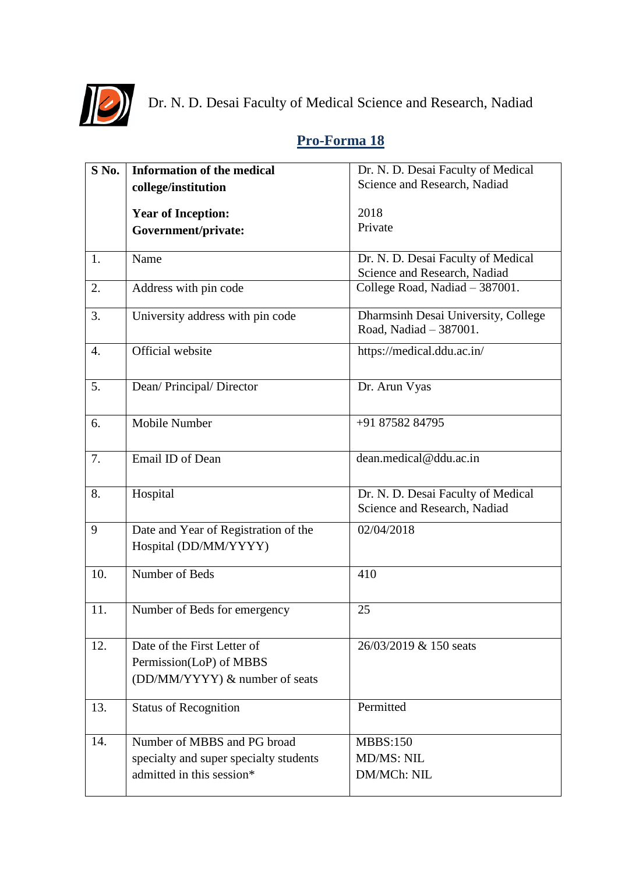

Dr. N. D. Desai Faculty of Medical Science and Research, Nadiad

## **S No. Information of the medical college/institution Year of Inception: Government/private:** Dr. N. D. Desai Faculty of Medical Science and Research, Nadiad 2018 Private 1. Name Dr. N. D. Desai Faculty of Medical Science and Research, Nadiad 2. Address with pin code College Road, Nadiad – 387001. 3. University address with pin code Dharmsinh Desai University, College Road, Nadiad – 387001. 4. Official website https://medical.ddu.ac.in/ 5. Dean/ Principal/ Director Dr. Arun Vyas 6. Mobile Number +91 87582 84795 7. Email ID of Dean dean.medical@ddu.ac.in 8. Hospital Dr. N. D. Desai Faculty of Medical Science and Research, Nadiad 9 Date and Year of Registration of the Hospital (DD/MM/YYYY) 02/04/2018 10. Number of Beds 410 11. Number of Beds for emergency 25 12. Date of the First Letter of Permission(LoP) of MBBS (DD/MM/YYYY) & number of seats 26/03/2019 & 150 seats 13. Status of Recognition Permitted 14. Number of MBBS and PG broad specialty and super specialty students admitted in this session\* MBBS:150 MD/MS: NIL DM/MCh: NIL

## **Pro-Forma 18**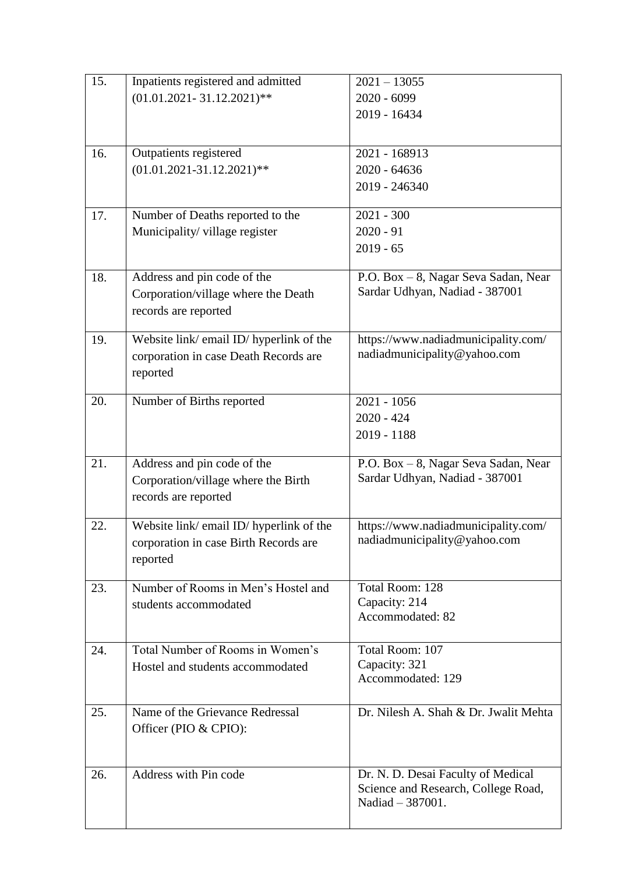| 15. | Inpatients registered and admitted       | $2021 - 13055$                        |
|-----|------------------------------------------|---------------------------------------|
|     | $(01.01.2021 - 31.12.2021)$ **           | $2020 - 6099$                         |
|     |                                          | 2019 - 16434                          |
|     |                                          |                                       |
| 16. | Outpatients registered                   | 2021 - 168913                         |
|     | $(01.01.2021 - 31.12.2021)$ **           | $2020 - 64636$                        |
|     |                                          | 2019 - 246340                         |
| 17. | Number of Deaths reported to the         | $2021 - 300$                          |
|     | Municipality/village register            | $2020 - 91$                           |
|     |                                          | $2019 - 65$                           |
| 18. | Address and pin code of the              | P.O. Box - 8, Nagar Seva Sadan, Near  |
|     | Corporation/village where the Death      | Sardar Udhyan, Nadiad - 387001        |
|     | records are reported                     |                                       |
| 19. | Website link/ email ID/ hyperlink of the | https://www.nadiadmunicipality.com/   |
|     | corporation in case Death Records are    | nadiadmunicipality@yahoo.com          |
|     | reported                                 |                                       |
| 20. | Number of Births reported                | $2021 - 1056$                         |
|     |                                          | $2020 - 424$                          |
|     |                                          | 2019 - 1188                           |
| 21. | Address and pin code of the              | P.O. Box - 8, Nagar Seva Sadan, Near  |
|     | Corporation/village where the Birth      | Sardar Udhyan, Nadiad - 387001        |
|     | records are reported                     |                                       |
| 22. | Website link/ email ID/ hyperlink of the | https://www.nadiadmunicipality.com/   |
|     | corporation in case Birth Records are    | nadiadmunicipality@yahoo.com          |
|     | reported                                 |                                       |
| 23. | Number of Rooms in Men's Hostel and      | Total Room: 128                       |
|     | students accommodated                    | Capacity: 214<br>Accommodated: 82     |
|     |                                          |                                       |
| 24. | Total Number of Rooms in Women's         | Total Room: 107                       |
|     | Hostel and students accommodated         | Capacity: 321<br>Accommodated: 129    |
|     |                                          |                                       |
| 25. | Name of the Grievance Redressal          | Dr. Nilesh A. Shah & Dr. Jwalit Mehta |
|     | Officer (PIO & CPIO):                    |                                       |
|     |                                          |                                       |
| 26. | Address with Pin code                    | Dr. N. D. Desai Faculty of Medical    |
|     |                                          | Science and Research, College Road,   |
|     |                                          | Nadiad - 387001.                      |
|     |                                          |                                       |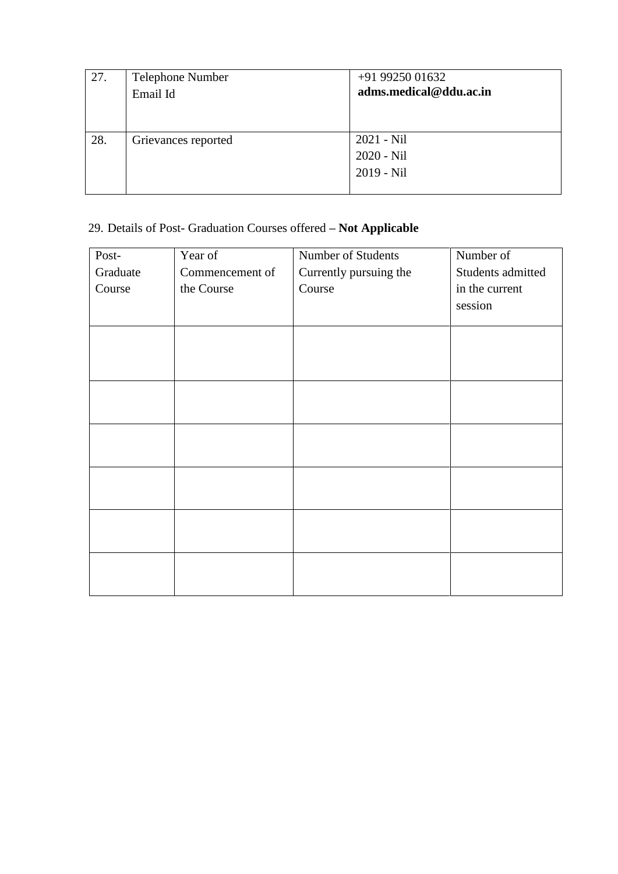| 27. | Telephone Number    | +91 99250 01632        |
|-----|---------------------|------------------------|
|     | Email Id            | adms.medical@ddu.ac.in |
|     |                     |                        |
|     |                     |                        |
| 28. | Grievances reported | $2021 - Nil$           |
|     |                     | 2020 - Nil             |
|     |                     | $2019 - Nil$           |
|     |                     |                        |

## 29. Details of Post- Graduation Courses offered **– Not Applicable**

| Post-    | Year of         | Number of Students     | Number of         |
|----------|-----------------|------------------------|-------------------|
| Graduate | Commencement of | Currently pursuing the | Students admitted |
| Course   | the Course      | Course                 | in the current    |
|          |                 |                        | session           |
|          |                 |                        |                   |
|          |                 |                        |                   |
|          |                 |                        |                   |
|          |                 |                        |                   |
|          |                 |                        |                   |
|          |                 |                        |                   |
|          |                 |                        |                   |
|          |                 |                        |                   |
|          |                 |                        |                   |
|          |                 |                        |                   |
|          |                 |                        |                   |
|          |                 |                        |                   |
|          |                 |                        |                   |
|          |                 |                        |                   |
|          |                 |                        |                   |
|          |                 |                        |                   |
|          |                 |                        |                   |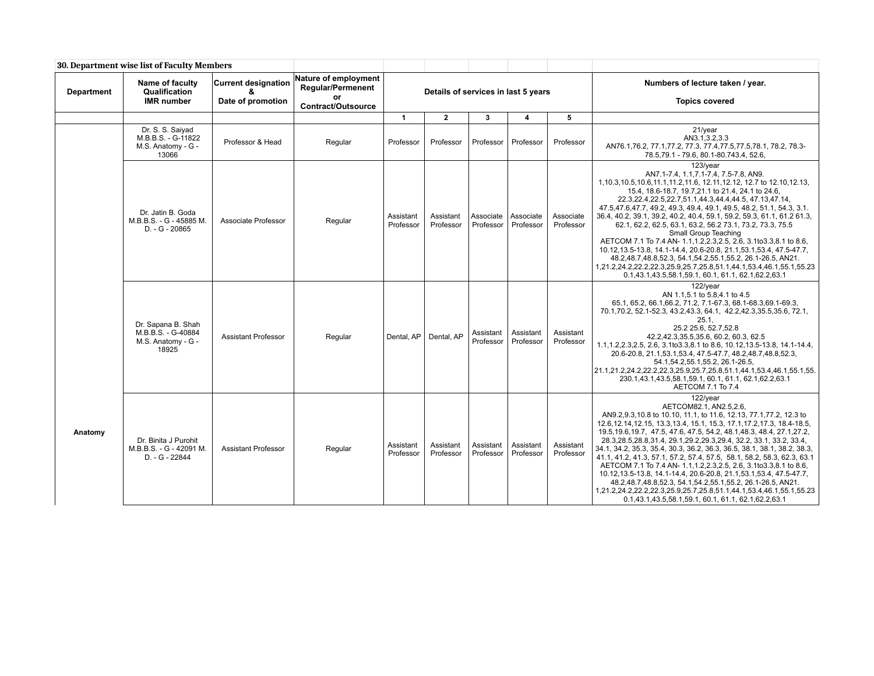| 30. Department wise list of Faculty Members |                                                                         |                                 |                                                               |                        |                                     |                        |                         |                        |                                                                                                                                                                                                                                                                                                                                                                                                                                                                                                                                                                                                                                                                                                                                                                                                                                         |
|---------------------------------------------|-------------------------------------------------------------------------|---------------------------------|---------------------------------------------------------------|------------------------|-------------------------------------|------------------------|-------------------------|------------------------|-----------------------------------------------------------------------------------------------------------------------------------------------------------------------------------------------------------------------------------------------------------------------------------------------------------------------------------------------------------------------------------------------------------------------------------------------------------------------------------------------------------------------------------------------------------------------------------------------------------------------------------------------------------------------------------------------------------------------------------------------------------------------------------------------------------------------------------------|
| Department                                  | Name of faculty<br>Qualification                                        | <b>Current designation</b><br>ጼ | Nature of employment<br><b>Regular/Permenent</b><br><b>or</b> |                        | Details of services in last 5 years |                        |                         |                        | Numbers of lecture taken / year.                                                                                                                                                                                                                                                                                                                                                                                                                                                                                                                                                                                                                                                                                                                                                                                                        |
|                                             | <b>IMR</b> number                                                       | Date of promotion               | <b>Contract/Outsource</b>                                     |                        |                                     |                        |                         |                        | <b>Topics covered</b>                                                                                                                                                                                                                                                                                                                                                                                                                                                                                                                                                                                                                                                                                                                                                                                                                   |
|                                             |                                                                         |                                 |                                                               | $\mathbf{1}$           | $\mathbf{2}$                        | 3                      | $\overline{\mathbf{4}}$ | 5                      |                                                                                                                                                                                                                                                                                                                                                                                                                                                                                                                                                                                                                                                                                                                                                                                                                                         |
|                                             | Dr. S. S. Saiyad<br>M.B.B.S. - G-11822<br>M.S. Anatomy - G -<br>13066   | Professor & Head                | Regular                                                       | Professor              | Professor                           | Professor              | Professor               | Professor              | 21/year<br>AN3.1,3.2,3.3<br>AN76.1,76.2, 77.1,77.2, 77.3, 77.4,77.5,77.5,78.1, 78.2, 78.3-<br>78.5,79.1 - 79.6, 80.1-80.743.4, 52.6,                                                                                                                                                                                                                                                                                                                                                                                                                                                                                                                                                                                                                                                                                                    |
|                                             | Dr. Jatin B. Goda<br>M.B.B.S. - G - 45885 M.<br>D. - G - 20865          | Associate Professor             | Regular                                                       | Assistant<br>Professor | Assistant<br>Professor              | Associate<br>Professor | Associate<br>Professor  | Associate<br>Professor | 123/year<br>AN7.1-7.4, 1.1, 7.1-7.4, 7.5-7.8, AN9.<br>1,10.3,10.5,10.6,11.1,11.2,11.6, 12.11,12.12, 12.7 to 12.10,12.13,<br>15.4, 18.6-18.7, 19.7, 21.1 to 21.4, 24.1 to 24.6,<br>22.3, 22.4, 22.5, 22.7, 51.1, 44.3, 44.4, 44.5, 47.13, 47.14,<br>47.5,47.6,47.7, 49.2, 49.3, 49.4, 49.1, 49.5, 48.2, 51.1, 54.3, 3.1.<br>36.4, 40.2, 39.1, 39.2, 40.2, 40.4, 59.1, 59.2, 59.3, 61.1, 61.2 61.3,<br>62.1, 62.2, 62.5, 63.1, 63.2, 56.2 73.1, 73.2, 73.3, 75.5<br>Small Group Teaching<br>AETCOM 7.1 To 7.4 AN- 1.1, 1.2, 2.3, 2.5, 2.6, 3.1 to 3.3, 8.1 to 8.6,<br>10.12, 13.5-13.8, 14.1-14.4, 20.6-20.8, 21.1, 53.1, 53.4, 47.5-47.7,<br>48.2,48.7,48.8,52.3, 54.1,54.2,55.1,55.2, 26.1-26.5, AN21.<br>1,21.2,24.2,22.2,22.3,25.9,25.7,25.8,51.1,44.1,53.4,46.1,55.1,55.23<br>0.1,43.1,43.5,58.1,59.1, 60.1, 61.1, 62.1,62.2,63.1    |
|                                             | Dr. Sapana B. Shah<br>M.B.B.S. - G-40884<br>M.S. Anatomy - G -<br>18925 | <b>Assistant Professor</b>      | Regular                                                       | Dental, AP             | Dental, AP                          | Assistant<br>Professor | Assistant<br>Professor  | Assistant<br>Professor | 122/year<br>AN 1.1,5.1 to 5.8,4.1 to 4.5<br>65.1, 65.2, 66.1, 66.2, 71.2, 7.1-67.3, 68.1-68.3, 69.1-69.3,<br>70.1,70.2, 52.1-52.3, 43.2,43.3, 64.1, 42.2,42.3,35.5,35.6, 72.1,<br>25.1<br>25.2 25.6, 52.7, 52.8<br>42.2,42.3,35.5,35.6, 60.2, 60.3, 62.5<br>1.1, 1.2, 2.3, 2.5, 2.6, 3.1 to 3.3, 8.1 to 8.6, 10.12, 13.5-13.8, 14.1-14.4,<br>20.6-20.8, 21.1, 53.1, 53.4, 47.5-47.7, 48.2, 48.7, 48.8, 52.3,<br>54.1, 54.2, 55.1, 55.2, 26.1-26.5,<br>21.1,21.2,24.2,22.2,22.3,25.9,25.7,25.8,51.1,44.1,53.4,46.1,55.1,55.<br>230.1,43.1,43.5,58.1,59.1, 60.1, 61.1, 62.1,62.2,63.1<br>AETCOM 7.1 To 7.4                                                                                                                                                                                                                                |
| Anatomy                                     | Dr. Binita J Purohit<br>M.B.B.S. - G - 42091 M.<br>D. - G - 22844       | <b>Assistant Professor</b>      | Regular                                                       | Assistant<br>Professor | Assistant<br>Professor              | Assistant<br>Professor | Assistant<br>Professor  | Assistant<br>Professor | 122/year<br>AETCOM82.1, AN2.5,2.6,<br>AN9.2,9.3,10.8 to 10.10, 11.1, to 11.6, 12.13, 77.1, 77.2, 12.3 to<br>12.6, 12.14, 12.15, 13.3, 13.4, 15.1, 15.3, 17.1, 17.2, 17.3, 18.4-18.5,<br>19.5, 19.6, 19.7, 47.5, 47.6, 47.5, 54.2, 48.1, 48.3, 48.4, 27.1, 27.2,<br>28.3,28.5,28.8,31.4, 29.1,29.2,29.3,29.4, 32.2, 33.1, 33.2, 33.4,<br>34.1, 34.2, 35.3, 35.4, 30.3, 36.2, 36.3, 36.5, 38.1, 38.1, 38.2, 38.3,<br>41.1, 41.2, 41.3, 57.1, 57.2, 57.4, 57.5, 58.1, 58.2, 58.3, 62.3, 63.1<br>AETCOM 7.1 To 7.4 AN- 1.1, 1.2, 2.3, 2.5, 2.6, 3.1 to 3.3, 8.1 to 8.6,<br>10.12, 13.5-13.8, 14.1-14.4, 20.6-20.8, 21.1, 53.1, 53.4, 47.5-47.7,<br>48.2,48.7,48.8,52.3, 54.1,54.2,55.1,55.2, 26.1-26.5, AN21.<br>1,21.2,24.2,22.2,22.3,25.9,25.7,25.8,51.1,44.1,53.4,46.1,55.1,55.23<br>0.1,43.1,43.5,58.1,59.1, 60.1, 61.1, 62.1,62.2,63.1 |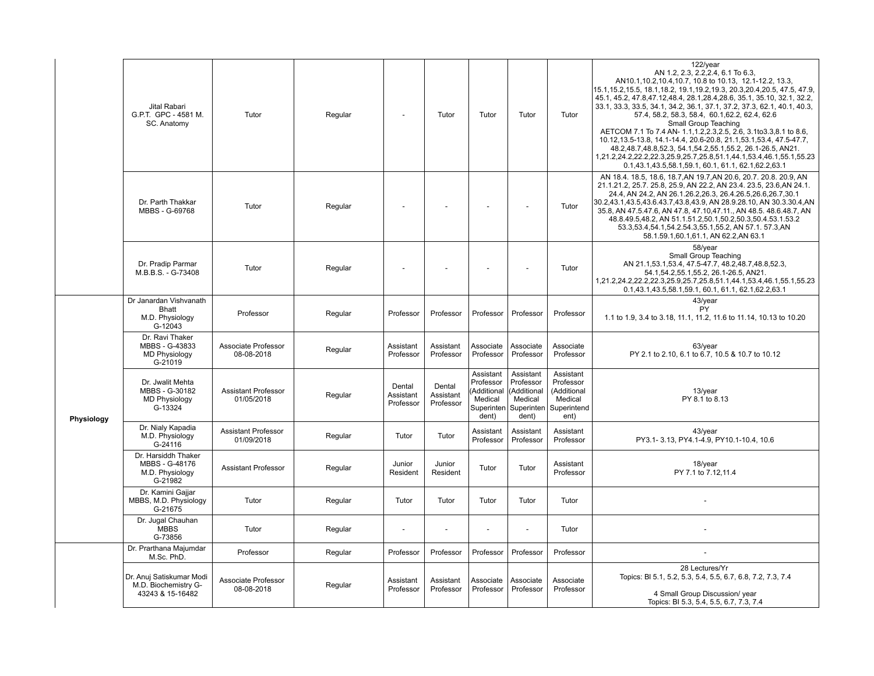|            | Jital Rabari<br>G.P.T. GPC - 4581 M.<br>SC. Anatomy                    | Tutor                                    | Regular | $\overline{\phantom{a}}$         | Tutor                            | Tutor                                                                  | Tutor                                                           | Tutor                                                                                | 122/year<br>AN 1.2, 2.3, 2.2, 2.4, 6.1 To 6.3,<br>AN10.1, 10.2, 10.4, 10.7, 10.8 to 10.13, 12.1-12.2, 13.3,<br>15.1, 15.2, 15.5, 18.1, 18.2, 19.1, 19.2, 19.3, 20.3, 20.4, 20.5, 47.5, 47.9,<br>45.1, 45.2, 47.8, 47.12, 48.4, 28.1, 28.4, 28.6, 35.1, 35.10, 32.1, 32.2,<br>33.1, 33.3, 33.5, 34.1, 34.2, 36.1, 37.1, 37.2, 37.3, 62.1, 40.1, 40.3,<br>57.4, 58.2, 58.3, 58.4, 60.1, 62.2, 62.4, 62.6<br>Small Group Teaching<br>AETCOM 7.1 To 7.4 AN- 1.1, 1.2, 2.3, 2.5, 2.6, 3.1 to 3.3, 8.1 to 8.6,<br>10.12, 13.5-13.8, 14.1-14.4, 20.6-20.8, 21.1, 53.1, 53.4, 47.5-47.7,<br>48.2,48.7,48.8,52.3, 54.1,54.2,55.1,55.2, 26.1-26.5, AN21.<br>1,21.2,24.2,22.2,22.3,25.9,25.7,25.8,51.1,44.1,53.4,46.1,55.1,55.23<br>0.1,43.1,43.5,58.1,59.1, 60.1, 61.1, 62.1,62.2,63.1 |
|------------|------------------------------------------------------------------------|------------------------------------------|---------|----------------------------------|----------------------------------|------------------------------------------------------------------------|-----------------------------------------------------------------|--------------------------------------------------------------------------------------|------------------------------------------------------------------------------------------------------------------------------------------------------------------------------------------------------------------------------------------------------------------------------------------------------------------------------------------------------------------------------------------------------------------------------------------------------------------------------------------------------------------------------------------------------------------------------------------------------------------------------------------------------------------------------------------------------------------------------------------------------------------------------|
|            | Dr. Parth Thakkar<br>MBBS - G-69768                                    | Tutor                                    | Regular |                                  |                                  |                                                                        |                                                                 | Tutor                                                                                | AN 18.4, 18.5, 18.6, 18.7.AN 19.7.AN 20.6, 20.7, 20.8, 20.9, AN<br>21.1.21.2, 25.7. 25.8, 25.9, AN 22.2, AN 23.4. 23.5, 23.6, AN 24.1.<br>24.4, AN 24.2, AN 26.1.26.2, 26.3, 26.4.26.5, 26.6, 26.7, 30.1<br>30.2,43.1,43.5,43.6.43.7,43.8,43.9, AN 28.9.28.10, AN 30.3.30.4,AN<br>35.8, AN 47.5.47.6, AN 47.8, 47.10,47.11., AN 48.5. 48.6.48.7, AN<br>48.8.49.5,48.2, AN 51.1.51.2,50.1,50.2,50.3,50.4.53.1.53.2<br>53.3,53.4,54.1,54.2.54.3,55.1,55.2, AN 57.1. 57.3,AN<br>58.1.59.1,60.1,61.1, AN 62.2,AN 63.1                                                                                                                                                                                                                                                            |
|            | Dr. Pradip Parmar<br>M.B.B.S. - G-73408                                | Tutor                                    | Regular |                                  |                                  |                                                                        |                                                                 | Tutor                                                                                | 58/year<br>Small Group Teaching<br>AN 21.1,53.1,53.4, 47.5-47.7, 48.2,48.7,48.8,52.3,<br>54.1,54.2,55.1,55.2, 26.1-26.5, AN21.<br>1,21.2,24.2,22.2,22.3,25.9,25.7,25.8,51.1,44.1,53.4,46.1,55.1,55.23<br>0.1,43.1,43.5,58.1,59.1, 60.1, 61.1, 62.1,62.2,63.1                                                                                                                                                                                                                                                                                                                                                                                                                                                                                                                 |
|            | Dr Janardan Vishvanath<br><b>Bhatt</b><br>M.D. Physiology<br>$G-12043$ | Professor                                | Regular | Professor                        | Professor                        | Professor                                                              | Professor                                                       | Professor                                                                            | 43/year<br>PY<br>1.1 to 1.9, 3.4 to 3.18, 11.1, 11.2, 11.6 to 11.14, 10.13 to 10.20                                                                                                                                                                                                                                                                                                                                                                                                                                                                                                                                                                                                                                                                                          |
|            | Dr. Ravi Thaker<br>MBBS - G-43833<br><b>MD Physiology</b><br>G-21019   | Associate Professor<br>08-08-2018        | Regular | Assistant<br>Professor           | Assistant<br>Professor           | Associate<br>Professor                                                 | Associate<br>Professor                                          | Associate<br>Professor                                                               | 63/year<br>PY 2.1 to 2.10, 6.1 to 6.7, 10.5 & 10.7 to 10.12                                                                                                                                                                                                                                                                                                                                                                                                                                                                                                                                                                                                                                                                                                                  |
| Physiology | Dr. Jwalit Mehta<br>MBBS - G-30182<br><b>MD Physiology</b><br>G-13324  | <b>Assistant Professor</b><br>01/05/2018 | Regular | Dental<br>Assistant<br>Professor | Dental<br>Assistant<br>Professor | Assistant<br>Professor<br>Additional<br>Medical<br>Superinten<br>dent) | Assistant<br>Professor<br><b>Additional</b><br>Medical<br>dent) | Assistant<br>Professor<br>(Additional<br>Medical<br>Superinten   Superintend<br>ent) | 13/year<br>PY 8.1 to 8.13                                                                                                                                                                                                                                                                                                                                                                                                                                                                                                                                                                                                                                                                                                                                                    |
|            | Dr. Nialy Kapadia<br>M.D. Physiology<br>G-24116                        | <b>Assistant Professor</b><br>01/09/2018 | Regular | Tutor                            | Tutor                            | Assistant<br>Professor                                                 | Assistant<br>Professor                                          | Assistant<br>Professor                                                               | 43/year<br>PY3.1-3.13, PY4.1-4.9, PY10.1-10.4, 10.6                                                                                                                                                                                                                                                                                                                                                                                                                                                                                                                                                                                                                                                                                                                          |
|            | Dr. Harsiddh Thaker<br>MBBS - G-48176<br>M.D. Physiology<br>$G-21982$  | <b>Assistant Professor</b>               | Regular | Junior<br>Resident               | Junior<br>Resident               | Tutor                                                                  | Tutor                                                           | Assistant<br>Professor                                                               | $18$ /year<br>PY 7.1 to 7.12,11.4                                                                                                                                                                                                                                                                                                                                                                                                                                                                                                                                                                                                                                                                                                                                            |
|            | Dr. Kamini Gajjar<br>MBBS, M.D. Physiology<br>G-21675                  | Tutor                                    | Regular | Tutor                            | Tutor                            | Tutor                                                                  | Tutor                                                           | Tutor                                                                                |                                                                                                                                                                                                                                                                                                                                                                                                                                                                                                                                                                                                                                                                                                                                                                              |
|            | Dr. Jugal Chauhan<br><b>MBBS</b><br>G-73856                            | Tutor                                    | Regular |                                  | $\overline{\phantom{a}}$         |                                                                        | $\overline{a}$                                                  | Tutor                                                                                |                                                                                                                                                                                                                                                                                                                                                                                                                                                                                                                                                                                                                                                                                                                                                                              |
|            | Dr. Prarthana Majumdar<br>M.Sc. PhD.                                   | Professor                                | Regular | Professor                        | Professor                        | Professor                                                              | Professor                                                       | Professor                                                                            |                                                                                                                                                                                                                                                                                                                                                                                                                                                                                                                                                                                                                                                                                                                                                                              |
|            | Dr. Anuj Satiskumar Modi<br>M.D. Biochemistry G-<br>43243 & 15-16482   | Associate Professor<br>08-08-2018        | Regular | Assistant<br>Professor           | Assistant<br>Professor           | Associate<br>Professor                                                 | Associate<br>Professor                                          | Associate<br>Professor                                                               | 28 Lectures/Yr<br>Topics: BI 5.1, 5.2, 5.3, 5.4, 5.5, 6.7, 6.8, 7.2, 7.3, 7.4<br>4 Small Group Discussion/ year<br>Topics: BI 5.3, 5.4, 5.5, 6.7, 7.3, 7.4                                                                                                                                                                                                                                                                                                                                                                                                                                                                                                                                                                                                                   |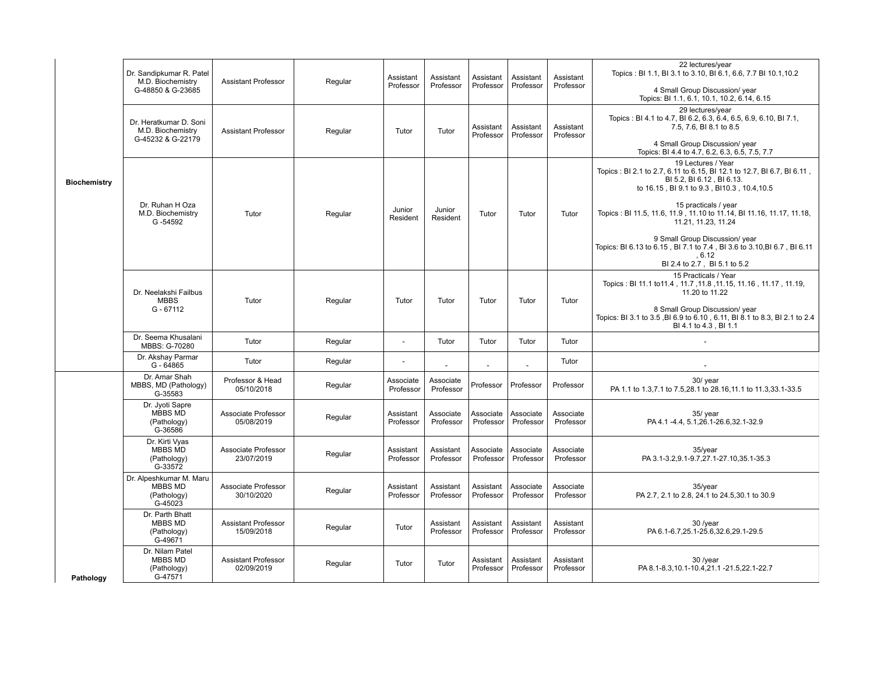| <b>Biochemistry</b> | Dr. Sandipkumar R. Patel<br>M.D. Biochemistry<br>G-48850 & G-23685  | <b>Assistant Professor</b>               | Regular | Assistant<br>Professor | Assistant<br>Professor | Assistant<br>Professor | Assistant<br>Professor | Assistant<br>Professor | 22 lectures/year<br>Topics: BI 1.1, BI 3.1 to 3.10, BI 6.1, 6.6, 7.7 BI 10.1, 10.2<br>4 Small Group Discussion/ year<br>Topics: BI 1.1, 6.1, 10.1, 10.2, 6.14, 6.15                                                                                                                                                                                                                                                                                   |
|---------------------|---------------------------------------------------------------------|------------------------------------------|---------|------------------------|------------------------|------------------------|------------------------|------------------------|-------------------------------------------------------------------------------------------------------------------------------------------------------------------------------------------------------------------------------------------------------------------------------------------------------------------------------------------------------------------------------------------------------------------------------------------------------|
|                     | Dr. Heratkumar D. Soni<br>M.D. Biochemistry<br>G-45232 & G-22179    | <b>Assistant Professor</b>               | Regular | Tutor                  | Tutor                  | Assistant<br>Professor | Assistant<br>Professor | Assistant<br>Professor | 29 lectures/vear<br>Topics: BI 4.1 to 4.7, BI 6.2, 6.3, 6.4, 6.5, 6.9, 6.10, BI 7.1,<br>7.5, 7.6, BI 8.1 to 8.5<br>4 Small Group Discussion/ year<br>Topics: BI 4.4 to 4.7, 6.2, 6.3, 6.5, 7.5, 7.7                                                                                                                                                                                                                                                   |
|                     | Dr. Ruhan H Oza<br>M.D. Biochemistry<br>G-54592                     | Tutor                                    | Regular | Junior<br>Resident     | Junior<br>Resident     | Tutor                  | Tutor                  | Tutor                  | 19 Lectures / Year<br>Topics: BI 2.1 to 2.7, 6.11 to 6.15, BI 12.1 to 12.7, BI 6.7, BI 6.11,<br>BI 5.2, BI 6.12, BI 6.13.<br>to 16.15, BI 9.1 to 9.3, BI10.3, 10.4, 10.5<br>15 practicals / year<br>Topics: BI 11.5, 11.6, 11.9, 11.10 to 11.14, BI 11.16, 11.17, 11.18,<br>11.21, 11.23, 11.24<br>9 Small Group Discussion/ year<br>Topics: BI 6.13 to 6.15, BI 7.1 to 7.4, BI 3.6 to 3.10, BI 6.7, BI 6.11<br>.6.12<br>BI 2.4 to 2.7, BI 5.1 to 5.2 |
|                     | Dr. Neelakshi Failbus<br><b>MBBS</b><br>$G - 67112$                 | Tutor                                    | Regular | Tutor                  | Tutor                  | Tutor                  | Tutor                  | Tutor                  | 15 Practicals / Year<br>Topics: BI 11.1 to 11.4, 11.7, 11.8, 11.15, 11.16, 11.17, 11.19,<br>11.20 to 11.22<br>8 Small Group Discussion/ year<br>Topics: BI 3.1 to 3.5, BI 6.9 to 6.10, 6.11, BI 8.1 to 8.3, BI 2.1 to 2.4<br>BI 4.1 to 4.3, BI 1.1                                                                                                                                                                                                    |
|                     | Dr. Seema Khusalani<br>MBBS: G-70280                                | Tutor                                    | Regular | $\blacksquare$         | Tutor                  | Tutor                  | Tutor                  | Tutor                  |                                                                                                                                                                                                                                                                                                                                                                                                                                                       |
|                     | Dr. Akshay Parmar<br>$G - 64865$                                    | Tutor                                    | Regular |                        |                        | $\blacksquare$         |                        | Tutor                  |                                                                                                                                                                                                                                                                                                                                                                                                                                                       |
|                     | Dr. Amar Shah<br>MBBS, MD (Pathology)<br>G-35583                    | Professor & Head<br>05/10/2018           | Regular | Associate<br>Professor | Associate<br>Professor | Professor              | Professor              | Professor              | 30/ year<br>PA 1.1 to 1.3,7.1 to 7.5,28.1 to 28.16,11.1 to 11.3,33.1-33.5                                                                                                                                                                                                                                                                                                                                                                             |
|                     | Dr. Jyoti Sapre<br>MBBS MD<br>(Pathology)<br>G-36586                | Associate Professor<br>05/08/2019        | Regular | Assistant<br>Professor | Associate<br>Professor | Associate<br>Professor | Associate<br>Professor | Associate<br>Professor | 35/ year<br>PA 4.1 -4.4, 5.1, 26.1-26.6, 32.1-32.9                                                                                                                                                                                                                                                                                                                                                                                                    |
|                     | Dr. Kirti Vvas<br>MBBS MD<br>(Pathology)<br>G-33572                 | Associate Professor<br>23/07/2019        | Regular | Assistant<br>Professor | Assistant<br>Professor | Associate<br>Professor | Associate<br>Professor | Associate<br>Professor | $35$ /year<br>PA 3.1-3.2, 9.1-9.7, 27.1-27.10, 35.1-35.3                                                                                                                                                                                                                                                                                                                                                                                              |
|                     | Dr. Alpeshkumar M. Maru<br><b>MBBS MD</b><br>(Pathology)<br>G-45023 | Associate Professor<br>30/10/2020        | Regular | Assistant<br>Professor | Assistant<br>Professor | Assistant<br>Professor | Associate<br>Professor | Associate<br>Professor | 35/year<br>PA 2.7, 2.1 to 2.8, 24.1 to 24.5, 30.1 to 30.9                                                                                                                                                                                                                                                                                                                                                                                             |
|                     | Dr. Parth Bhatt<br>MBBS MD<br>(Pathology)<br>G-49671                | <b>Assistant Professor</b><br>15/09/2018 | Regular | Tutor                  | Assistant<br>Professor | Assistant<br>Professor | Assistant<br>Professor | Assistant<br>Professor | 30 /year<br>PA 6.1-6.7,25.1-25.6,32.6,29.1-29.5                                                                                                                                                                                                                                                                                                                                                                                                       |
| Pathology           | Dr. Nilam Patel<br>MBBS MD<br>(Pathology)<br>G-47571                | <b>Assistant Professor</b><br>02/09/2019 | Regular | Tutor                  | Tutor                  | Assistant<br>Professor | Assistant<br>Professor | Assistant<br>Professor | 30 /year<br>PA 8.1-8.3, 10.1-10.4, 21.1 - 21.5, 22.1-22.7                                                                                                                                                                                                                                                                                                                                                                                             |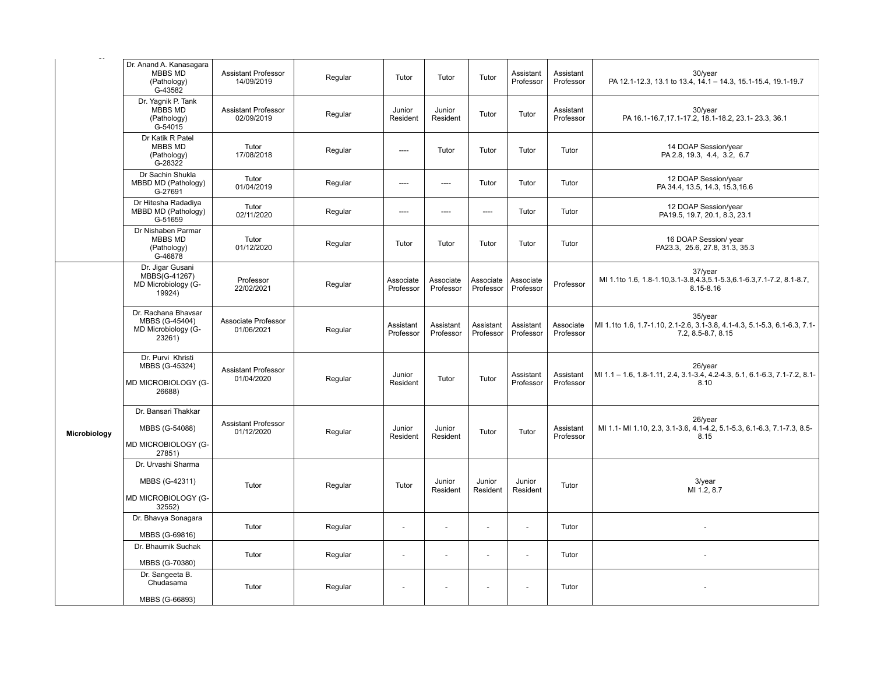| $\overline{\phantom{m}}$ |                                                                        |                                          |         |                          |                        |                          |                        |                        |                                                                                                               |
|--------------------------|------------------------------------------------------------------------|------------------------------------------|---------|--------------------------|------------------------|--------------------------|------------------------|------------------------|---------------------------------------------------------------------------------------------------------------|
|                          | Dr. Anand A. Kanasagara<br>MBBS MD<br>(Pathology)<br>G-43582           | <b>Assistant Professor</b><br>14/09/2019 | Regular | Tutor                    | Tutor                  | Tutor                    | Assistant<br>Professor | Assistant<br>Professor | 30/year<br>PA 12.1-12.3, 13.1 to 13.4, 14.1 - 14.3, 15.1-15.4, 19.1-19.7                                      |
|                          | Dr. Yagnik P. Tank<br>MBBS MD<br>(Pathology)<br>G-54015                | Assistant Professor<br>02/09/2019        | Regular | Junior<br>Resident       | Junior<br>Resident     | Tutor                    | Tutor                  | Assistant<br>Professor | 30/year<br>PA 16.1-16.7, 17.1-17.2, 18.1-18.2, 23.1- 23.3, 36.1                                               |
|                          | Dr Katik R Patel<br><b>MBBS MD</b><br>(Pathology)<br>$G-28322$         | Tutor<br>17/08/2018                      | Regular | ----                     | Tutor                  | Tutor                    | Tutor                  | Tutor                  | 14 DOAP Session/year<br>PA 2.8, 19.3, 4.4, 3.2, 6.7                                                           |
|                          | Dr Sachin Shukla<br>MBBD MD (Pathology)<br>G-27691                     | Tutor<br>01/04/2019                      | Regular | $\overline{\phantom{a}}$ | $---$                  | Tutor                    | Tutor                  | Tutor                  | 12 DOAP Session/year<br>PA 34.4, 13.5, 14.3, 15.3, 16.6                                                       |
|                          | Dr Hitesha Radadiya<br>MBBD MD (Pathology)<br>G-51659                  | Tutor<br>02/11/2020                      | Regular | ----                     | $---$                  | $---$                    | Tutor                  | Tutor                  | 12 DOAP Session/year<br>PA19.5, 19.7, 20.1, 8.3, 23.1                                                         |
|                          | Dr Nishaben Parmar<br>MBBS MD<br>(Pathology)<br>G-46878                | Tutor<br>01/12/2020                      | Regular | Tutor                    | Tutor                  | Tutor                    | Tutor                  | Tutor                  | 16 DOAP Session/ year<br>PA23.3, 25.6, 27.8, 31.3, 35.3                                                       |
|                          | Dr. Jigar Gusani<br>MBBS(G-41267)<br>MD Microbiology (G-<br>19924)     | Professor<br>22/02/2021                  | Regular | Associate<br>Professor   | Associate<br>Professor | Associate<br>Professor   | Associate<br>Professor | Professor              | 37/year<br>MI 1.1to 1.6, 1.8-1.10, 3.1-3.8, 4.3, 5.1-5.3, 6.1-6.3, 7.1-7.2, 8.1-8.7,<br>$8.15 - 8.16$         |
|                          | Dr. Rachana Bhavsar<br>MBBS (G-45404)<br>MD Microbiology (G-<br>23261) | Associate Professor<br>01/06/2021        | Regular | Assistant<br>Professor   | Assistant<br>Professor | Assistant<br>Professor   | Assistant<br>Professor | Associate<br>Professor | $35$ /year<br>MI 1.1to 1.6, 1.7-1.10, 2.1-2.6, 3.1-3.8, 4.1-4.3, 5.1-5.3, 6.1-6.3, 7.1-<br>7.2, 8.5-8.7, 8.15 |
|                          | Dr. Purvi Khristi<br>MBBS (G-45324)<br>MD MICROBIOLOGY (G-<br>26688)   | <b>Assistant Professor</b><br>01/04/2020 | Regular | Junior<br>Resident       | Tutor                  | Tutor                    | Assistant<br>Professor | Assistant<br>Professor | 26/year<br>MI 1.1 - 1.6, 1.8-1.11, 2.4, 3.1-3.4, 4.2-4.3, 5.1, 6.1-6.3, 7.1-7.2, 8.1-<br>8.10                 |
| Microbiology             | Dr. Bansari Thakkar<br>MBBS (G-54088)<br>MD MICROBIOLOGY (G-<br>27851) | <b>Assistant Professor</b><br>01/12/2020 | Regular | Junior<br>Resident       | Junior<br>Resident     | Tutor                    | Tutor                  | Assistant<br>Professor | 26/year<br>MI 1.1- MI 1.10, 2.3, 3.1-3.6, 4.1-4.2, 5.1-5.3, 6.1-6.3, 7.1-7.3, 8.5-<br>8.15                    |
|                          | Dr. Urvashi Sharma<br>MBBS (G-42311)<br>MD MICROBIOLOGY (G-<br>32552)  | Tutor                                    | Regular | Tutor                    | Junior<br>Resident     | Junior<br>Resident       | Junior<br>Resident     | Tutor                  | $3$ /year<br>MI 1.2, 8.7                                                                                      |
|                          | Dr. Bhavya Sonagara<br>MBBS (G-69816)                                  | Tutor                                    | Regular | $\overline{a}$           | $\overline{a}$         | $\overline{\phantom{a}}$ | $\overline{a}$         | Tutor                  |                                                                                                               |
|                          | Dr. Bhaumik Suchak<br>MBBS (G-70380)                                   | Tutor                                    | Regular | $\overline{a}$           |                        | $\overline{\phantom{a}}$ |                        | Tutor                  |                                                                                                               |
|                          | Dr. Sangeeta B.<br>Chudasama<br>MBBS (G-66893)                         | Tutor                                    | Regular | $\blacksquare$           |                        |                          |                        | Tutor                  |                                                                                                               |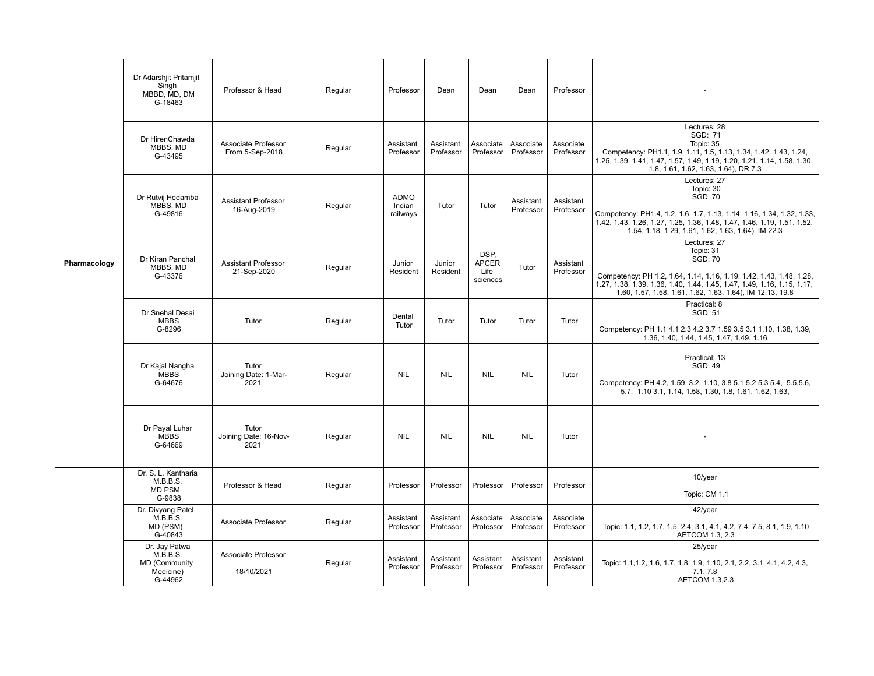|              | Dr Adarshjit Pritamjit<br>Singh<br>MBBD, MD, DM<br>G-18463         | Professor & Head                          | Regular | Professor                         | Dean                   | Dean                                     | Dean                   | Professor              |                                                                                                                                                                                                                                                       |
|--------------|--------------------------------------------------------------------|-------------------------------------------|---------|-----------------------------------|------------------------|------------------------------------------|------------------------|------------------------|-------------------------------------------------------------------------------------------------------------------------------------------------------------------------------------------------------------------------------------------------------|
|              | Dr HirenChawda<br>MBBS, MD<br>G-43495                              | Associate Professor<br>From 5-Sep-2018    | Regular | Assistant<br>Professor            | Assistant<br>Professor | Associate<br>Professor                   | Associate<br>Professor | Associate<br>Professor | Lectures: 28<br>SGD: 71<br>Topic: 35<br>Competency: PH1.1, 1.9, 1.11, 1.5, 1.13, 1.34, 1.42, 1.43, 1.24,<br>1.25, 1.39, 1.41, 1.47, 1.57, 1.49, 1.19, 1.20, 1.21, 1.14, 1.58, 1.30,<br>1.8, 1.61, 1.62, 1.63, 1.64), DR 7.3                           |
|              | Dr Rutvij Hedamba<br>MBBS, MD<br>G-49816                           | <b>Assistant Professor</b><br>16-Aug-2019 | Regular | <b>ADMO</b><br>Indian<br>railways | Tutor                  | Tutor                                    | Assistant<br>Professor | Assistant<br>Professor | Lectures: 27<br>Topic: 30<br><b>SGD: 70</b><br>Competency: PH1.4, 1.2, 1.6, 1.7, 1.13, 1.14, 1.16, 1.34, 1.32, 1.33,<br>1.42, 1.43, 1.26, 1.27, 1.25, 1.36, 1.48, 1.47, 1.46, 1.19, 1.51, 1.52,<br>1.54, 1.18, 1.29, 1.61, 1.62, 1.63, 1.64), IM 22.3 |
| Pharmacology | Dr Kiran Panchal<br>MBBS, MD<br>G-43376                            | <b>Assistant Professor</b><br>21-Sep-2020 | Regular | Junior<br>Resident                | Junior<br>Resident     | DSP.<br><b>APCER</b><br>Life<br>sciences | Tutor                  | Assistant<br>Professor | Lectures: 27<br>Topic: 31<br>SGD: 70<br>Competency: PH 1.2, 1.64, 1.14, 1.16, 1.19, 1.42, 1.43, 1.48, 1.28,<br>1.27, 1.38, 1.39, 1.36, 1.40, 1.44, 1.45, 1.47, 1.49, 1.16, 1.15, 1.17,<br>1.60, 1.57, 1.58, 1.61, 1.62, 1.63, 1.64), IM 12.13, 19.8   |
|              | Dr Snehal Desai<br><b>MBBS</b><br>G-8296                           | Tutor                                     | Regular | Dental<br>Tutor                   | Tutor                  | Tutor                                    | Tutor                  | Tutor                  | Practical: 8<br><b>SGD: 51</b><br>Competency: PH 1.1 4.1 2.3 4.2 3.7 1.59 3.5 3.1 1.10, 1.38, 1.39,<br>1.36, 1.40, 1.44, 1.45, 1.47, 1.49, 1.16                                                                                                       |
|              | Dr Kajal Nangha<br><b>MBBS</b><br>G-64676                          | Tutor<br>Joining Date: 1-Mar-<br>2021     | Regular | <b>NIL</b>                        | <b>NIL</b>             | <b>NIL</b>                               | <b>NIL</b>             | Tutor                  | Practical: 13<br><b>SGD: 49</b><br>Competency: PH 4.2, 1.59, 3.2, 1.10, 3.8 5.1 5.2 5.3 5.4, 5.5, 5.6,<br>5.7, 1.10 3.1, 1.14, 1.58, 1.30, 1.8, 1.61, 1.62, 1.63,                                                                                     |
|              | Dr Payal Luhar<br><b>MBBS</b><br>G-64669                           | Tutor<br>Joining Date: 16-Nov-<br>2021    | Regular | <b>NIL</b>                        | <b>NIL</b>             | <b>NIL</b>                               | <b>NIL</b>             | Tutor                  |                                                                                                                                                                                                                                                       |
|              | Dr. S. L. Kantharia<br>M.B.B.S.<br><b>MD PSM</b><br>G-9838         | Professor & Head                          | Regular | Professor                         | Professor              | Professor                                | Professor              | Professor              | 10/year<br>Topic: CM 1.1                                                                                                                                                                                                                              |
|              | Dr. Divyang Patel<br>M.B.B.S.<br>MD (PSM)<br>G-40843               | Associate Professor                       | Regular | Assistant<br>Professor            | Assistant<br>Professor | Associate<br>Professor                   | Associate<br>Professor | Associate<br>Professor | 42/year<br>Topic: 1.1, 1.2, 1.7, 1.5, 2.4, 3.1, 4.1, 4.2, 7.4, 7.5, 8.1, 1.9, 1.10<br>AETCOM 1.3, 2.3                                                                                                                                                 |
|              | Dr. Jay Patwa<br>M.B.B.S.<br>MD (Community<br>Medicine)<br>G-44962 | Associate Professor<br>18/10/2021         | Regular | Assistant<br>Professor            | Assistant<br>Professor | Assistant<br>Professor                   | Assistant<br>Professor | Assistant<br>Professor | 25/year<br>Topic: 1.1, 1.2, 1.6, 1.7, 1.8, 1.9, 1.10, 2.1, 2.2, 3.1, 4.1, 4.2, 4.3,<br>7.1, 7.8<br>AETCOM 1.3,2.3                                                                                                                                     |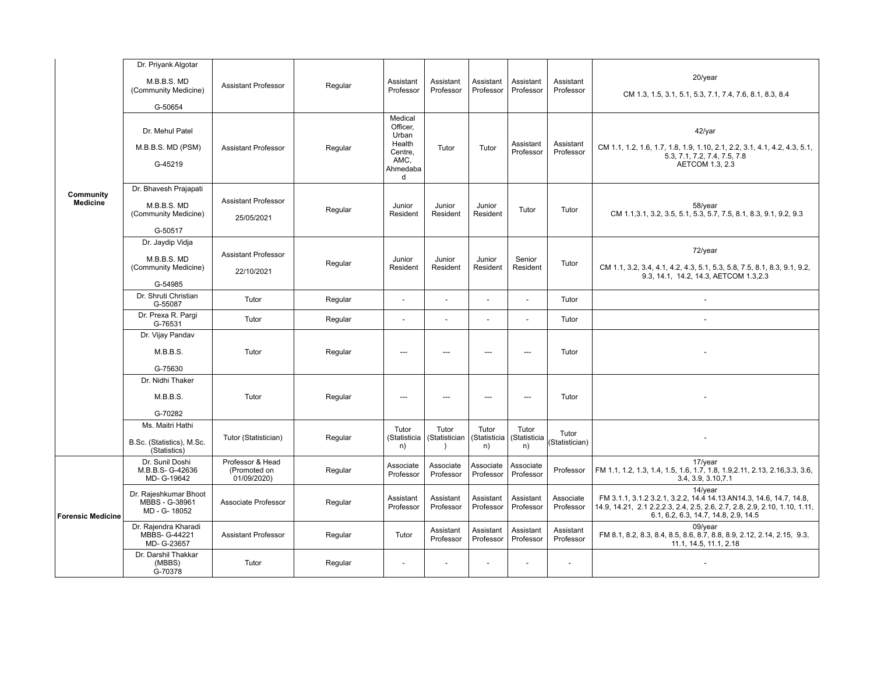|                              | Dr. Priyank Algotar<br>M.B.B.S. MD<br>(Community Medicine)<br>G-50654   | <b>Assistant Professor</b>                      | Regular | Assistant<br>Professor                                                     | Assistant<br>Professor              | Assistant<br>Professor      | Assistant<br>Professor      | Assistant<br>Professor   | 20/year<br>CM 1.3, 1.5, 3.1, 5.1, 5.3, 7.1, 7.4, 7.6, 8.1, 8.3, 8.4                                                                                                                                 |
|------------------------------|-------------------------------------------------------------------------|-------------------------------------------------|---------|----------------------------------------------------------------------------|-------------------------------------|-----------------------------|-----------------------------|--------------------------|-----------------------------------------------------------------------------------------------------------------------------------------------------------------------------------------------------|
|                              | Dr. Mehul Patel<br>M.B.B.S. MD (PSM)<br>G-45219                         | <b>Assistant Professor</b>                      | Regular | Medical<br>Officer,<br>Urban<br>Health<br>Centre,<br>AMC,<br>Ahmedaba<br>d | Tutor                               | Tutor                       | Assistant<br>Professor      | Assistant<br>Professor   | $42$ /yar<br>CM 1.1, 1.2, 1.6, 1.7, 1.8, 1.9, 1.10, 2.1, 2.2, 3.1, 4.1, 4.2, 4.3, 5.1,<br>5.3, 7.1, 7.2, 7.4, 7.5, 7.8<br>AETCOM 1.3, 2.3                                                           |
| Community<br><b>Medicine</b> | Dr. Bhavesh Prajapati<br>M.B.B.S. MD<br>(Community Medicine)<br>G-50517 | <b>Assistant Professor</b><br>25/05/2021        | Regular | Junior<br>Resident                                                         | Junior<br>Resident                  | Junior<br>Resident          | Tutor                       | Tutor                    | 58/year<br>CM 1.1, 3.1, 3.2, 3.5, 5.1, 5.3, 5.7, 7.5, 8.1, 8.3, 9.1, 9.2, 9.3                                                                                                                       |
|                              | Dr. Jaydip Vidja<br>M.B.B.S. MD<br>(Community Medicine)<br>G-54985      | <b>Assistant Professor</b><br>22/10/2021        | Regular | Junior<br>Resident                                                         | Junior<br>Resident                  | Junior<br>Resident          | Senior<br>Resident          | Tutor                    | 72/year<br>CM 1.1, 3.2, 3.4, 4.1, 4.2, 4.3, 5.1, 5.3, 5.8, 7.5, 8.1, 8.3, 9.1, 9.2,<br>9.3, 14.1, 14.2, 14.3, AETCOM 1.3,2.3                                                                        |
|                              | Dr. Shruti Christian<br>G-55087                                         | Tutor                                           | Regular | $\overline{\phantom{a}}$                                                   | $\overline{a}$                      | $\overline{a}$              | $\overline{a}$              | Tutor                    | $\overline{\phantom{a}}$                                                                                                                                                                            |
|                              | Dr. Prexa R. Pargi<br>G-76531                                           | Tutor                                           | Regular | $\blacksquare$                                                             | $\overline{\phantom{a}}$            | $\sim$                      | $\overline{\phantom{a}}$    | Tutor                    |                                                                                                                                                                                                     |
|                              | Dr. Vijay Pandav<br>M.B.B.S.<br>G-75630                                 | Tutor                                           | Regular | $\overline{a}$                                                             | $---$                               | ---                         | $---$                       | Tutor                    |                                                                                                                                                                                                     |
|                              | Dr. Nidhi Thaker<br>M.B.B.S.<br>G-70282                                 | Tutor                                           | Regular | $---$                                                                      | $\overline{a}$                      | $---$                       | $---$                       | Tutor                    |                                                                                                                                                                                                     |
|                              | Ms. Maitri Hathi<br>B.Sc. (Statistics), M.Sc.<br>(Statistics)           | Tutor (Statistician)                            | Regular | Tutor<br>(Statisticia<br>n)                                                | Tutor<br>(Statistician<br>$\lambda$ | Tutor<br>(Statisticia<br>n) | Tutor<br>(Statisticia<br>n) | Tutor<br>(Statistician)  |                                                                                                                                                                                                     |
|                              | Dr. Sunil Doshi<br>M.B.B.S- G-42636<br>MD- G-19642                      | Professor & Head<br>(Promoted on<br>01/09/2020) | Regular | Associate<br>Professor                                                     | Associate<br>Professor              | Associate<br>Professor      | Associate<br>Professor      | Professor                | 17/year<br>FM 1.1, 1.2, 1.3, 1.4, 1.5, 1.6, 1.7, 1.8, 1.9, 2.11, 2.13, 2.16, 3.3, 3.6,<br>3.4, 3.9, 3.10, 7.1                                                                                       |
| <b>Forensic Medicine</b>     | Dr. Rajeshkumar Bhoot<br>MBBS - G-38961<br>MD - G- 18052                | Associate Professor                             | Regular | Assistant<br>Professor                                                     | Assistant<br>Professor              | Assistant<br>Professor      | Assistant<br>Professor      | Associate<br>Professor   | 14/year<br>FM 3.1.1, 3.1.2 3.2.1, 3.2.2, 14.4 14.13 AN14.3, 14.6, 14.7, 14.8,<br>14.9, 14.21, 2.1 2.2, 2.3, 2.4, 2.5, 2.6, 2.7, 2.8, 2.9, 2.10, 1.10, 1.11,<br>6.1, 6.2, 6.3, 14.7, 14.8, 2.9, 14.5 |
|                              | Dr. Rajendra Kharadi<br>MBBS- G-44221<br>MD- G-23657                    | <b>Assistant Professor</b>                      | Regular | Tutor                                                                      | Assistant<br>Professor              | Assistant<br>Professor      | Assistant<br>Professor      | Assistant<br>Professor   | 09/year<br>FM 8.1, 8.2, 8.3, 8.4, 8.5, 8.6, 8.7, 8.8, 8.9, 2.12, 2.14, 2.15, 9.3,<br>11.1, 14.5, 11.1, 2.18                                                                                         |
|                              | Dr. Darshil Thakkar<br>(MBBS)<br>G-70378                                | Tutor                                           | Regular | $\blacksquare$                                                             | $\overline{\phantom{a}}$            | $\blacksquare$              | $\overline{\phantom{a}}$    | $\overline{\phantom{a}}$ |                                                                                                                                                                                                     |
|                              |                                                                         |                                                 |         |                                                                            |                                     |                             |                             |                          |                                                                                                                                                                                                     |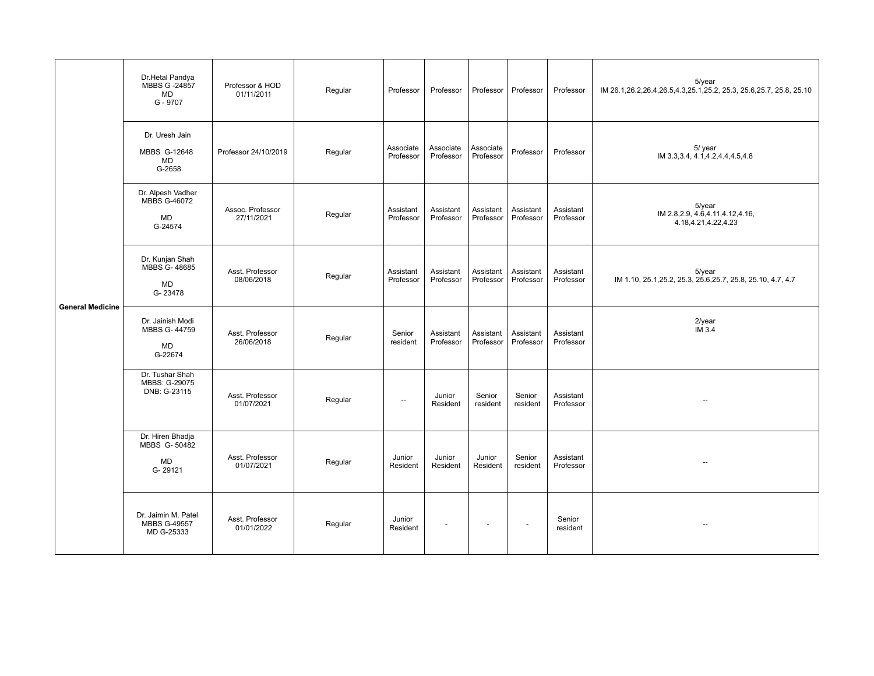|                         | Dr.Hetal Pandya<br>MBBS G -24857<br>MD<br>G - 9707               | Professor & HOD<br>01/11/2011  | Regular | Professor                | Professor              | Professor              | Professor                | Professor              | $5$ /year<br>IM 26.1, 26.2, 26.4, 26.5, 4.3, 25.1, 25.2, 25.3, 25.6, 25.7, 25.8, 25.10 |
|-------------------------|------------------------------------------------------------------|--------------------------------|---------|--------------------------|------------------------|------------------------|--------------------------|------------------------|----------------------------------------------------------------------------------------|
| <b>General Medicine</b> | Dr. Uresh Jain<br>MBBS G-12648<br>MD<br>G-2658                   | Professor 24/10/2019           | Regular | Associate<br>Professor   | Associate<br>Professor | Associate<br>Professor | Professor                | Professor              | 5/ year<br>IM 3.3, 3.4, 4.1, 4.2, 4.4, 4.5, 4.8                                        |
|                         | Dr. Alpesh Vadher<br><b>MBBS G-46072</b><br><b>MD</b><br>G-24574 | Assoc. Professor<br>27/11/2021 | Regular | Assistant<br>Professor   | Assistant<br>Professor | Assistant<br>Professor | Assistant<br>Professor   | Assistant<br>Professor | $5$ /year<br>IM 2.8, 2.9, 4.6, 4.11, 4.12, 4.16,<br>4.18,4.21,4.22,4.23                |
|                         | Dr. Kunjan Shah<br>MBBS G-48685<br><b>MD</b><br>G-23478          | Asst. Professor<br>08/06/2018  | Regular | Assistant<br>Professor   | Assistant<br>Professor | Assistant<br>Professor | Assistant<br>Professor   | Assistant<br>Professor | $5$ /year<br>IM 1.10, 25.1, 25.2, 25.3, 25.6, 25.7, 25.8, 25.10, 4.7, 4.7              |
|                         | Dr. Jainish Modi<br>MBBS G-44759<br>MD<br>G-22674                | Asst. Professor<br>26/06/2018  | Regular | Senior<br>resident       | Assistant<br>Professor | Assistant<br>Professor | Assistant<br>Professor   | Assistant<br>Professor | $2$ /year<br>IM 3.4                                                                    |
|                         | Dr. Tushar Shah<br>MBBS: G-29075<br>DNB: G-23115                 | Asst. Professor<br>01/07/2021  | Regular | $\overline{\phantom{a}}$ | Junior<br>Resident     | Senior<br>resident     | Senior<br>resident       | Assistant<br>Professor | $\hspace{0.05cm} -\hspace{0.05cm} -\hspace{0.05cm}$                                    |
|                         | Dr. Hiren Bhadja<br>MBBS G-50482<br><b>MD</b><br>G-29121         | Asst. Professor<br>01/07/2021  | Regular | Junior<br>Resident       | Junior<br>Resident     | Junior<br>Resident     | Senior<br>resident       | Assistant<br>Professor | $\overline{\phantom{a}}$                                                               |
|                         | Dr. Jaimin M. Patel<br><b>MBBS G-49557</b><br>MD G-25333         | Asst. Professor<br>01/01/2022  | Regular | Junior<br>Resident       | $\overline{a}$         | $\overline{a}$         | $\overline{\phantom{a}}$ | Senior<br>resident     | $\overline{\phantom{a}}$                                                               |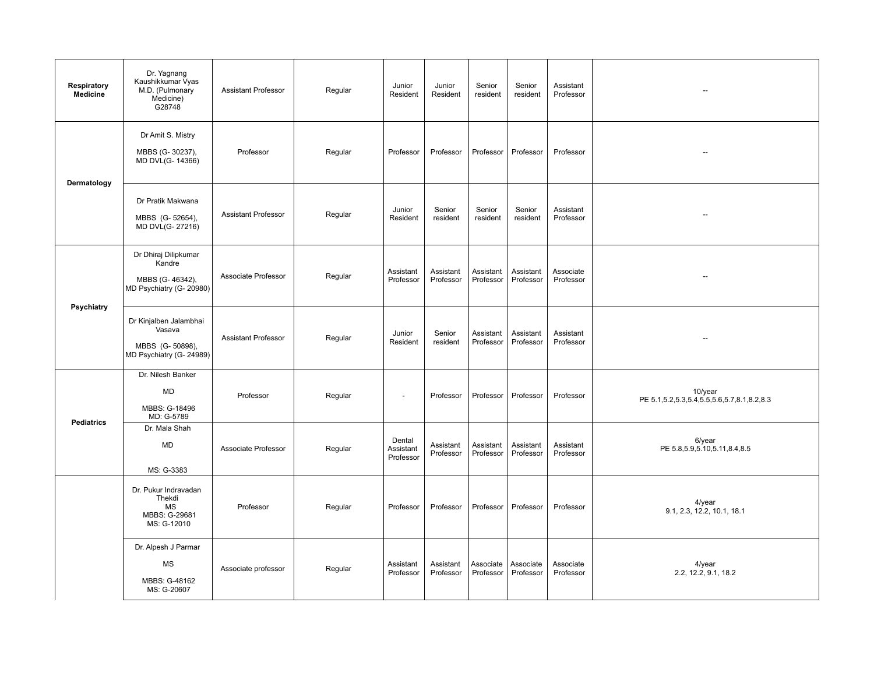| Respiratory<br><b>Medicine</b> | Dr. Yagnang<br>Kaushikkumar Vyas<br>M.D. (Pulmonary<br>Medicine)<br>G28748      | <b>Assistant Professor</b> | Regular | Junior<br>Resident               | Junior<br>Resident     | Senior<br>resident     | Senior<br>resident     | Assistant<br>Professor | $\hspace{0.05cm} -\hspace{0.05cm}$                             |
|--------------------------------|---------------------------------------------------------------------------------|----------------------------|---------|----------------------------------|------------------------|------------------------|------------------------|------------------------|----------------------------------------------------------------|
|                                | Dr Amit S. Mistry<br>MBBS (G-30237),<br>MD DVL(G- 14366)                        | Professor                  | Regular | Professor                        | Professor              | Professor              | Professor              | Professor              | $\overline{\phantom{a}}$                                       |
| Dermatology                    | Dr Pratik Makwana<br>MBBS (G-52654),<br>MD DVL(G-27216)                         | <b>Assistant Professor</b> | Regular | Junior<br>Resident               | Senior<br>resident     | Senior<br>resident     | Senior<br>resident     | Assistant<br>Professor | --                                                             |
| Psychiatry                     | Dr Dhiraj Dilipkumar<br>Kandre<br>MBBS (G-46342),<br>MD Psychiatry (G- 20980)   | Associate Professor        | Regular | Assistant<br>Professor           | Assistant<br>Professor | Assistant<br>Professor | Assistant<br>Professor | Associate<br>Professor |                                                                |
|                                | Dr Kinjalben Jalambhai<br>Vasava<br>MBBS (G-50898),<br>MD Psychiatry (G- 24989) | <b>Assistant Professor</b> | Regular | Junior<br>Resident               | Senior<br>resident     | Assistant<br>Professor | Assistant<br>Professor | Assistant<br>Professor | $\overline{\phantom{a}}$                                       |
| <b>Pediatrics</b>              | Dr. Nilesh Banker<br><b>MD</b><br>MBBS: G-18496<br>MD: G-5789                   | Professor                  | Regular | $\blacksquare$                   | Professor              | Professor              | Professor              | Professor              | 10/year<br>PE 5.1, 5.2, 5.3, 5.4, 5.5, 5.6, 5.7, 8.1, 8.2, 8.3 |
|                                | Dr. Mala Shah<br><b>MD</b><br>MS: G-3383                                        | Associate Professor        | Regular | Dental<br>Assistant<br>Professor | Assistant<br>Professor | Assistant<br>Professor | Assistant<br>Professor | Assistant<br>Professor | 6/year<br>PE 5.8, 5.9, 5.10, 5.11, 8.4, 8.5                    |
|                                | Dr. Pukur Indravadan<br>Thekdi<br><b>MS</b><br>MBBS: G-29681<br>MS: G-12010     | Professor                  | Regular | Professor                        | Professor              | Professor              | Professor              | Professor              | $4$ /year<br>9.1, 2.3, 12.2, 10.1, 18.1                        |
|                                | Dr. Alpesh J Parmar<br><b>MS</b><br>MBBS: G-48162<br>MS: G-20607                | Associate professor        | Regular | Assistant<br>Professor           | Assistant<br>Professor | Associate<br>Professor | Associate<br>Professor | Associate<br>Professor | $4$ /year<br>2.2, 12.2, 9.1, 18.2                              |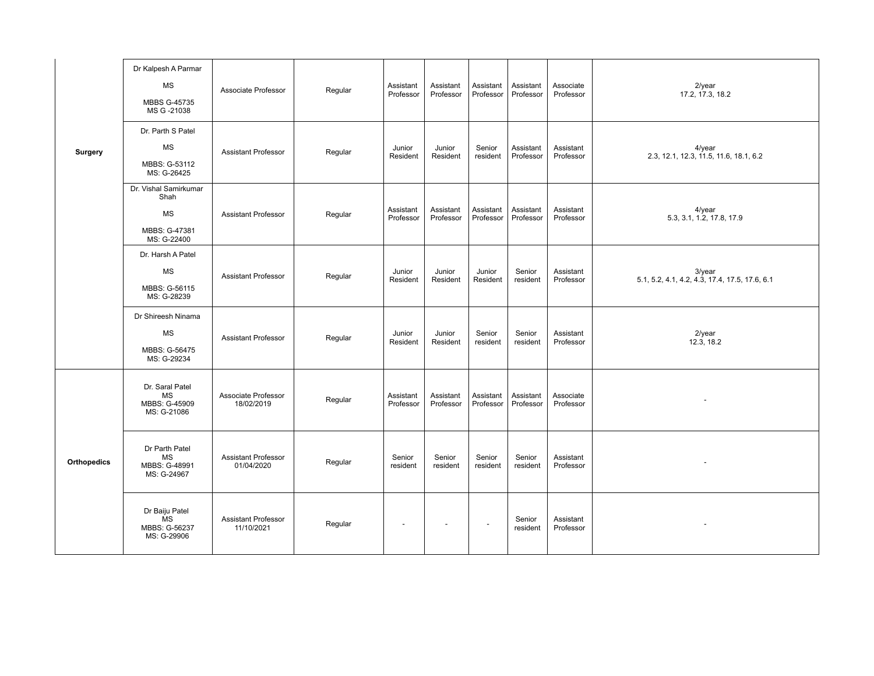|                    | Dr Kalpesh A Parmar<br><b>MS</b><br>MBBS G-45735<br>MS G -21038            | Associate Professor                      | Regular | Assistant<br>Professor | Assistant<br>Professor | Assistant<br>Professor | Assistant<br>Professor | Associate<br>Professor | 2/year<br>17.2, 17.3, 18.2                                  |
|--------------------|----------------------------------------------------------------------------|------------------------------------------|---------|------------------------|------------------------|------------------------|------------------------|------------------------|-------------------------------------------------------------|
| <b>Surgery</b>     | Dr. Parth S Patel<br><b>MS</b><br>MBBS: G-53112<br>MS: G-26425             | <b>Assistant Professor</b>               | Regular | Junior<br>Resident     | Junior<br>Resident     | Senior<br>resident     | Assistant<br>Professor | Assistant<br>Professor | $4$ /year<br>2.3, 12.1, 12.3, 11.5, 11.6, 18.1, 6.2         |
|                    | Dr. Vishal Samirkumar<br>Shah<br><b>MS</b><br>MBBS: G-47381<br>MS: G-22400 | <b>Assistant Professor</b>               | Regular | Assistant<br>Professor | Assistant<br>Professor | Assistant<br>Professor | Assistant<br>Professor | Assistant<br>Professor | 4/year<br>5.3, 3.1, 1.2, 17.8, 17.9                         |
|                    | Dr. Harsh A Patel<br><b>MS</b><br>MBBS: G-56115<br>MS: G-28239             | <b>Assistant Professor</b>               | Regular | Junior<br>Resident     | Junior<br>Resident     | Junior<br>Resident     | Senior<br>resident     | Assistant<br>Professor | $3$ /year<br>5.1, 5.2, 4.1, 4.2, 4.3, 17.4, 17.5, 17.6, 6.1 |
|                    | Dr Shireesh Ninama<br><b>MS</b><br>MBBS: G-56475<br>MS: G-29234            | <b>Assistant Professor</b>               | Regular | Junior<br>Resident     | Junior<br>Resident     | Senior<br>resident     | Senior<br>resident     | Assistant<br>Professor | $2$ /year<br>12.3, 18.2                                     |
|                    | Dr. Saral Patel<br><b>MS</b><br>MBBS: G-45909<br>MS: G-21086               | Associate Professor<br>18/02/2019        | Regular | Assistant<br>Professor | Assistant<br>Professor | Assistant<br>Professor | Assistant<br>Professor | Associate<br>Professor |                                                             |
| <b>Orthopedics</b> | Dr Parth Patel<br><b>MS</b><br>MBBS: G-48991<br>MS: G-24967                | <b>Assistant Professor</b><br>01/04/2020 | Regular | Senior<br>resident     | Senior<br>resident     | Senior<br>resident     | Senior<br>resident     | Assistant<br>Professor | $\overline{\phantom{a}}$                                    |
|                    | Dr Baiju Patel<br><b>MS</b><br>MBBS: G-56237<br>MS: G-29906                | <b>Assistant Professor</b><br>11/10/2021 | Regular | $\sim$                 |                        | $\sim$                 | Senior<br>resident     | Assistant<br>Professor |                                                             |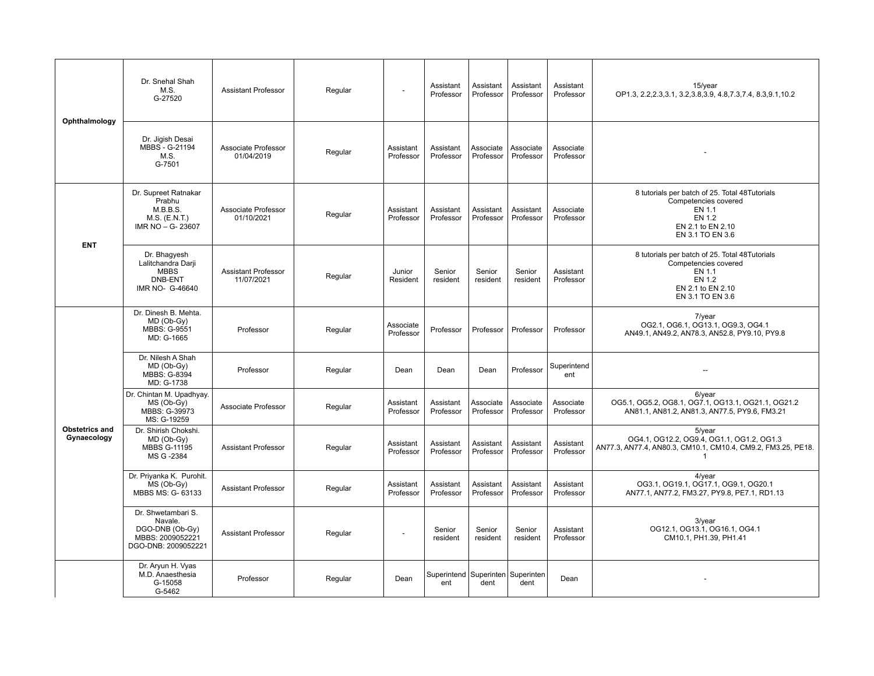| Ophthalmology                 | Dr. Snehal Shah<br>M.S.<br>G-27520                                                          | <b>Assistant Professor</b>               | Regular | $\overline{a}$         | Assistant<br>Professor                       | Assistant<br>Professor | Assistant<br>Professor | Assistant<br>Professor | $15$ /year<br>OP1.3, 2.2, 2.3, 3.1, 3.2, 3.8, 3.9, 4.8, 7.3, 7.4, 8.3, 9.1, 10.2                                                    |
|-------------------------------|---------------------------------------------------------------------------------------------|------------------------------------------|---------|------------------------|----------------------------------------------|------------------------|------------------------|------------------------|-------------------------------------------------------------------------------------------------------------------------------------|
|                               | Dr. Jiqish Desai<br>MBBS - G-21194<br>M.S.<br>G-7501                                        | Associate Professor<br>01/04/2019        | Regular | Assistant<br>Professor | Assistant<br>Professor                       | Associate<br>Professor | Associate<br>Professor | Associate<br>Professor |                                                                                                                                     |
| <b>ENT</b>                    | Dr. Supreet Ratnakar<br>Prabhu<br>M.B.B.S.<br>$M.S.$ (E.N.T.)<br>IMR NO - G- 23607          | Associate Professor<br>01/10/2021        | Regular | Assistant<br>Professor | Assistant<br>Professor                       | Assistant<br>Professor | Assistant<br>Professor | Associate<br>Professor | 8 tutorials per batch of 25. Total 48Tutorials<br>Competencies covered<br>EN 1.1<br>EN 1.2<br>EN 2.1 to EN 2.10<br>EN 3.1 TO EN 3.6 |
|                               | Dr. Bhagyesh<br>Lalitchandra Darji<br><b>MBBS</b><br><b>DNB-ENT</b><br>IMR NO- G-46640      | <b>Assistant Professor</b><br>11/07/2021 | Regular | Junior<br>Resident     | Senior<br>resident                           | Senior<br>resident     | Senior<br>resident     | Assistant<br>Professor | 8 tutorials per batch of 25. Total 48Tutorials<br>Competencies covered<br>EN 1.1<br>EN 1.2<br>EN 2.1 to EN 2.10<br>EN 3.1 TO EN 3.6 |
|                               | Dr. Dinesh B. Mehta.<br>MD (Ob-Gy)<br>MBBS: G-9551<br>MD: G-1665                            | Professor                                | Regular | Associate<br>Professor | Professor                                    | Professor              | Professor              | Professor              | $7$ /year<br>OG2.1, OG6.1, OG13.1, OG9.3, OG4.1<br>AN49.1, AN49.2, AN78.3, AN52.8, PY9.10, PY9.8                                    |
|                               | Dr. Nilesh A Shah<br>MD (Ob-Gy)<br>MBBS: G-8394<br>MD: G-1738                               | Professor                                | Regular | Dean                   | Dean                                         | Dean                   | Professor              | Superintend<br>ent     |                                                                                                                                     |
|                               | Dr. Chintan M. Upadhyay.<br>MS (Ob-Gy)<br>MBBS: G-39973<br>MS: G-19259                      | Associate Professor                      | Regular | Assistant<br>Professor | Assistant<br>Professor                       | Associate<br>Professor | Associate<br>Professor | Associate<br>Professor | $6$ /year<br>OG5.1, OG5.2, OG8.1, OG7.1, OG13.1, OG21.1, OG21.2<br>AN81.1, AN81.2, AN81.3, AN77.5, PY9.6, FM3.21                    |
| Obstetrics and<br>Gynaecology | Dr. Shirish Chokshi.<br>MD (Ob-Gy)<br><b>MBBS G-11195</b><br>MS G -2384                     | <b>Assistant Professor</b>               | Regular | Assistant<br>Professor | Assistant<br>Professor                       | Assistant<br>Professor | Assistant<br>Professor | Assistant<br>Professor | $5$ /year<br>OG4.1, OG12.2, OG9.4, OG1.1, OG1.2, OG1.3<br>AN77.3, AN77.4, AN80.3, CM10.1, CM10.4, CM9.2, FM3.25, PE18.<br>-1        |
|                               | Dr. Priyanka K. Purohit.<br>MS (Ob-Gy)<br>MBBS MS: G- 63133                                 | <b>Assistant Professor</b>               | Regular | Assistant<br>Professor | Assistant<br>Professor                       | Assistant<br>Professor | Assistant<br>Professor | Assistant<br>Professor | $4$ /year<br>OG3.1, OG19.1, OG17.1, OG9.1, OG20.1<br>AN77.1, AN77.2, FM3.27, PY9.8, PE7.1, RD1.13                                   |
|                               | Dr. Shwetambari S.<br>Navale.<br>DGO-DNB (Ob-Gy)<br>MBBS: 2009052221<br>DGO-DNB: 2009052221 | <b>Assistant Professor</b>               | Regular |                        | Senior<br>resident                           | Senior<br>resident     | Senior<br>resident     | Assistant<br>Professor | 3/year<br>OG12.1, OG13.1, OG16.1, OG4.1<br>CM10.1, PH1.39, PH1.41                                                                   |
|                               | Dr. Aryun H. Vyas<br>M.D. Anaesthesia<br>G-15058<br>G-5462                                  | Professor                                | Regular | Dean                   | Superintend   Superinten   Superinten<br>ent | dent                   | dent                   | Dean                   |                                                                                                                                     |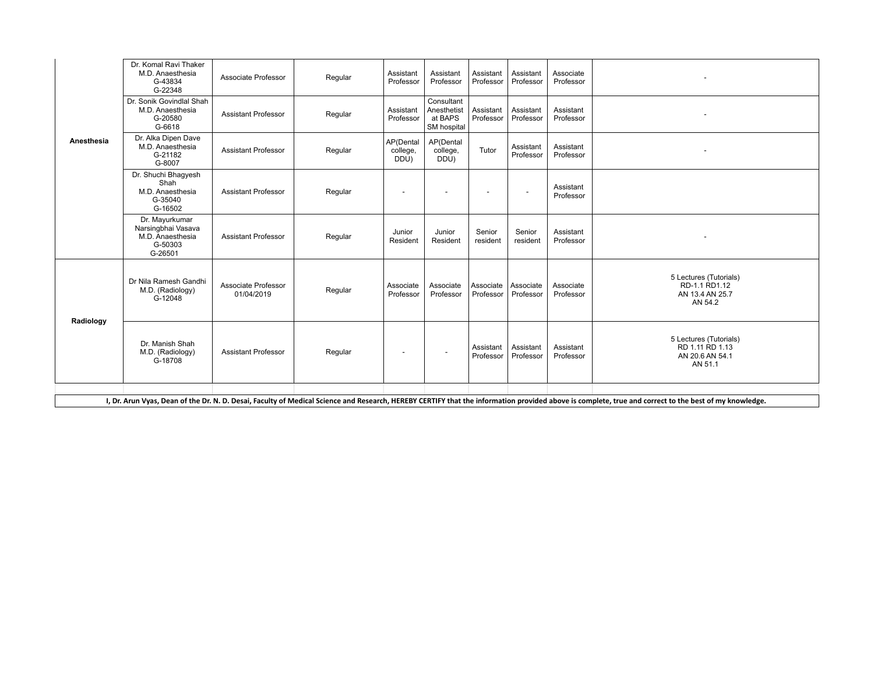| Anesthesia                                                                                                                                                                                            | Dr. Komal Ravi Thaker<br>M.D. Anaesthesia<br>G-43834<br>G-22348                | Associate Professor               | Regular | Assistant<br>Professor        | Assistant<br>Professor                              | Assistant<br>Professor   | Assistant<br>Professor   | Associate<br>Professor |                                                                         |
|-------------------------------------------------------------------------------------------------------------------------------------------------------------------------------------------------------|--------------------------------------------------------------------------------|-----------------------------------|---------|-------------------------------|-----------------------------------------------------|--------------------------|--------------------------|------------------------|-------------------------------------------------------------------------|
|                                                                                                                                                                                                       | Dr. Sonik Govindlal Shah<br>M.D. Anaesthesia<br>G-20580<br>G-6618              | <b>Assistant Professor</b>        | Regular | Assistant<br>Professor        | Consultant<br>Anesthetist<br>at BAPS<br>SM hospital | Assistant<br>Professor   | Assistant<br>Professor   | Assistant<br>Professor |                                                                         |
|                                                                                                                                                                                                       | Dr. Alka Dipen Dave<br>M.D. Anaesthesia<br>G-21182<br>G-8007                   | <b>Assistant Professor</b>        | Regular | AP(Dental<br>college,<br>DDU) | AP(Dental<br>college,<br>DDU)                       | Tutor                    | Assistant<br>Professor   | Assistant<br>Professor |                                                                         |
|                                                                                                                                                                                                       | Dr. Shuchi Bhagyesh<br>Shah<br>M.D. Anaesthesia<br>G-35040<br>G-16502          | <b>Assistant Professor</b>        | Regular |                               |                                                     | $\overline{\phantom{0}}$ | $\overline{\phantom{a}}$ | Assistant<br>Professor |                                                                         |
|                                                                                                                                                                                                       | Dr. Mayurkumar<br>Narsingbhai Vasava<br>M.D. Anaesthesia<br>G-50303<br>G-26501 | <b>Assistant Professor</b>        | Regular | Junior<br>Resident            | Junior<br>Resident                                  | Senior<br>resident       | Senior<br>resident       | Assistant<br>Professor |                                                                         |
|                                                                                                                                                                                                       | Dr Nila Ramesh Gandhi<br>M.D. (Radiology)<br>G-12048                           | Associate Professor<br>01/04/2019 | Regular | Associate<br>Professor        | Associate<br>Professor                              | Associate<br>Professor   | Associate<br>Professor   | Associate<br>Professor | 5 Lectures (Tutorials)<br>RD-1.1 RD1.12<br>AN 13.4 AN 25.7<br>AN 54.2   |
| Radiology                                                                                                                                                                                             | Dr. Manish Shah<br>M.D. (Radiology)<br>G-18708                                 | <b>Assistant Professor</b>        | Regular | $\overline{\phantom{a}}$      | $\overline{\phantom{a}}$                            | Assistant<br>Professor   | Assistant<br>Professor   | Assistant<br>Professor | 5 Lectures (Tutorials)<br>RD 1.11 RD 1.13<br>AN 20.6 AN 54.1<br>AN 51.1 |
|                                                                                                                                                                                                       |                                                                                |                                   |         |                               |                                                     |                          |                          |                        |                                                                         |
| I, Dr. Arun Vyas, Dean of the Dr. N. D. Desai, Faculty of Medical Science and Research, HEREBY CERTIFY that the information provided above is complete, true and correct to the best of my knowledge. |                                                                                |                                   |         |                               |                                                     |                          |                          |                        |                                                                         |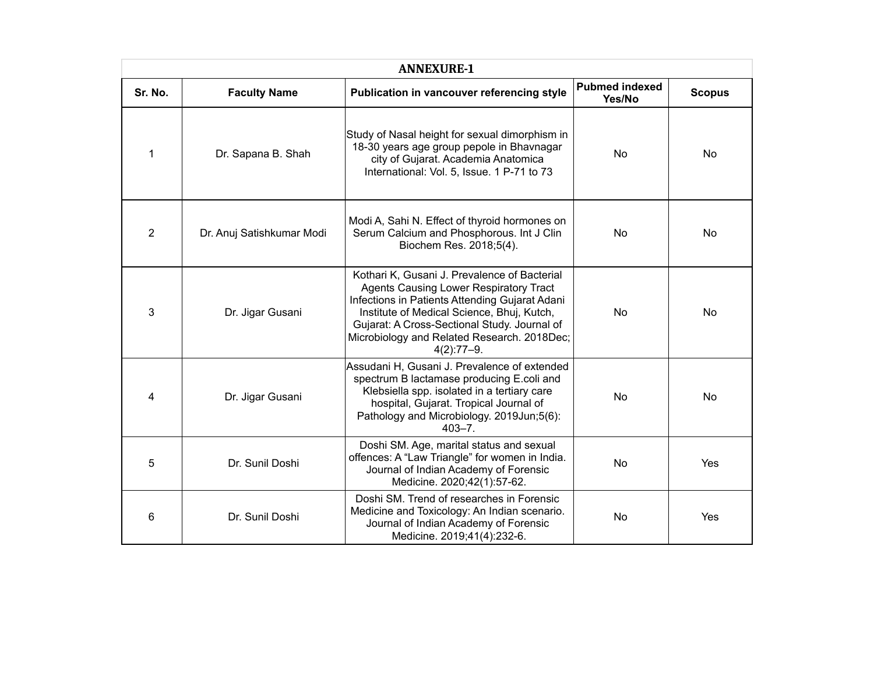| <b>ANNEXURE-1</b> |                           |                                                                                                                                                                                                                                                                                                              |                                 |               |  |  |  |
|-------------------|---------------------------|--------------------------------------------------------------------------------------------------------------------------------------------------------------------------------------------------------------------------------------------------------------------------------------------------------------|---------------------------------|---------------|--|--|--|
| Sr. No.           | <b>Faculty Name</b>       | Publication in vancouver referencing style                                                                                                                                                                                                                                                                   | <b>Pubmed indexed</b><br>Yes/No | <b>Scopus</b> |  |  |  |
| 1                 | Dr. Sapana B. Shah        | Study of Nasal height for sexual dimorphism in<br>18-30 years age group pepole in Bhavnagar<br>city of Gujarat. Academia Anatomica<br>International: Vol. 5, Issue. 1 P-71 to 73                                                                                                                             | <b>No</b>                       | No.           |  |  |  |
| $\overline{2}$    | Dr. Anuj Satishkumar Modi | Modi A, Sahi N. Effect of thyroid hormones on<br>Serum Calcium and Phosphorous. Int J Clin<br>Biochem Res. 2018;5(4).                                                                                                                                                                                        | No                              | <b>No</b>     |  |  |  |
| 3                 | Dr. Jigar Gusani          | Kothari K, Gusani J. Prevalence of Bacterial<br><b>Agents Causing Lower Respiratory Tract</b><br>Infections in Patients Attending Gujarat Adani<br>Institute of Medical Science, Bhuj, Kutch,<br>Gujarat: A Cross-Sectional Study. Journal of<br>Microbiology and Related Research. 2018Dec;<br>$4(2):77-9.$ | No                              | <b>No</b>     |  |  |  |
| 4                 | Dr. Jigar Gusani          | Assudani H, Gusani J. Prevalence of extended<br>spectrum B lactamase producing E.coli and<br>Klebsiella spp. isolated in a tertiary care<br>hospital, Gujarat. Tropical Journal of<br>Pathology and Microbiology. 2019Jun;5(6):<br>$403 - 7$ .                                                               | No                              | No            |  |  |  |
| 5                 | Dr. Sunil Doshi           | Doshi SM. Age, marital status and sexual<br>offences: A "Law Triangle" for women in India.<br>Journal of Indian Academy of Forensic<br>Medicine. 2020;42(1):57-62.                                                                                                                                           | No                              | Yes           |  |  |  |
| 6                 | Dr. Sunil Doshi           | Doshi SM. Trend of researches in Forensic<br>Medicine and Toxicology: An Indian scenario.<br>Journal of Indian Academy of Forensic<br>Medicine. 2019;41(4):232-6.                                                                                                                                            | No                              | Yes           |  |  |  |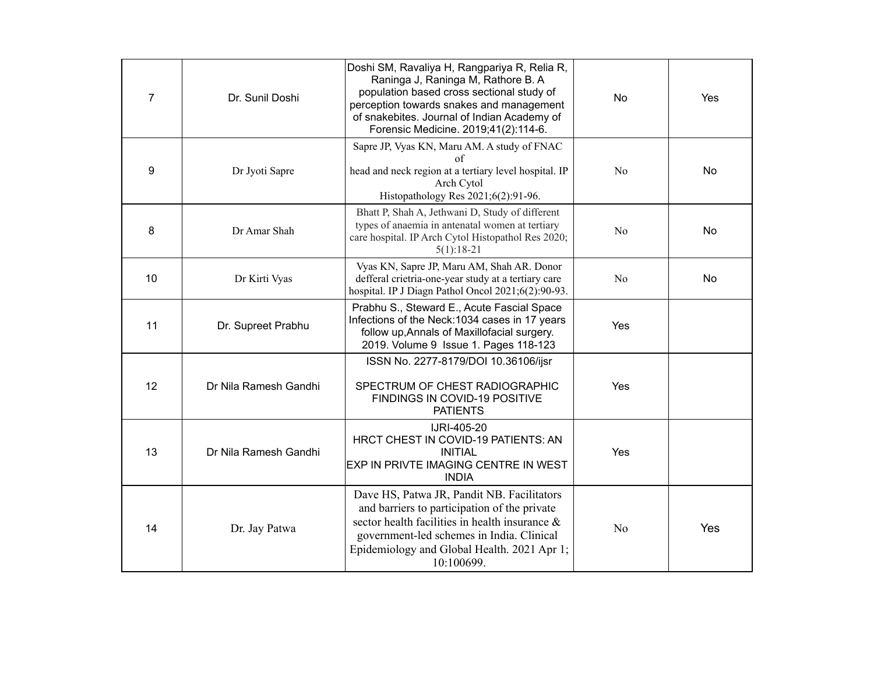| $\overline{7}$ | Dr. Sunil Doshi       | Doshi SM, Ravaliya H, Rangpariya R, Relia R,<br>Raninga J, Raninga M, Rathore B. A<br>population based cross sectional study of<br>perception towards snakes and management<br>of snakebites. Journal of Indian Academy of<br>Forensic Medicine. 2019;41(2):114-6. | <b>No</b>      | Yes       |
|----------------|-----------------------|--------------------------------------------------------------------------------------------------------------------------------------------------------------------------------------------------------------------------------------------------------------------|----------------|-----------|
| 9              | Dr Jyoti Sapre        | Sapre JP, Vyas KN, Maru AM. A study of FNAC<br>of<br>head and neck region at a tertiary level hospital. IP<br>Arch Cytol<br>Histopathology Res 2021;6(2):91-96.                                                                                                    | N <sub>o</sub> | No        |
| 8              | Dr Amar Shah          | Bhatt P, Shah A, Jethwani D, Study of different<br>types of anaemia in antenatal women at tertiary<br>care hospital. IP Arch Cytol Histopathol Res 2020;<br>$5(1):18-21$                                                                                           | No             | <b>No</b> |
| 10             | Dr Kirti Vyas         | Vyas KN, Sapre JP, Maru AM, Shah AR. Donor<br>defferal crietria-one-year study at a tertiary care<br>hospital. IP J Diagn Pathol Oncol 2021;6(2):90-93.                                                                                                            | N <sub>o</sub> | <b>No</b> |
| 11             | Dr. Supreet Prabhu    | Prabhu S., Steward E., Acute Fascial Space<br>Infections of the Neck: 1034 cases in 17 years<br>follow up, Annals of Maxillofacial surgery.<br>2019. Volume 9 Issue 1. Pages 118-123                                                                               | Yes            |           |
| 12             | Dr Nila Ramesh Gandhi | ISSN No. 2277-8179/DOI 10.36106/ijsr<br>SPECTRUM OF CHEST RADIOGRAPHIC<br>FINDINGS IN COVID-19 POSITIVE<br><b>PATIENTS</b>                                                                                                                                         | Yes            |           |
| 13             | Dr Nila Ramesh Gandhi | IJRI-405-20<br>HRCT CHEST IN COVID-19 PATIENTS: AN<br><b>INITIAL</b><br>EXP IN PRIVTE IMAGING CENTRE IN WEST<br><b>INDIA</b>                                                                                                                                       | Yes            |           |
| 14             | Dr. Jay Patwa         | Dave HS, Patwa JR, Pandit NB. Facilitators<br>and barriers to participation of the private<br>sector health facilities in health insurance $\&$<br>government-led schemes in India. Clinical<br>Epidemiology and Global Health. 2021 Apr 1;<br>10:100699.          | N <sub>o</sub> | Yes       |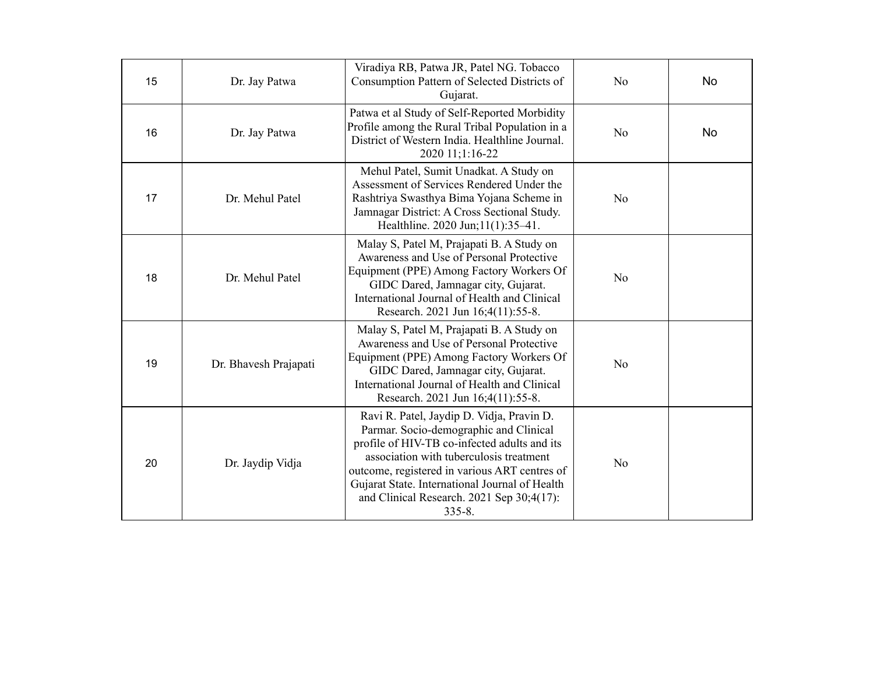| 15 | Dr. Jay Patwa         | Viradiya RB, Patwa JR, Patel NG. Tobacco<br>Consumption Pattern of Selected Districts of<br>Gujarat.                                                                                                                                                                                                                                         | No             | No        |
|----|-----------------------|----------------------------------------------------------------------------------------------------------------------------------------------------------------------------------------------------------------------------------------------------------------------------------------------------------------------------------------------|----------------|-----------|
| 16 | Dr. Jay Patwa         | Patwa et al Study of Self-Reported Morbidity<br>Profile among the Rural Tribal Population in a<br>District of Western India. Healthline Journal.<br>2020 11;1:16-22                                                                                                                                                                          | N <sub>o</sub> | <b>No</b> |
| 17 | Dr. Mehul Patel       | Mehul Patel, Sumit Unadkat. A Study on<br>Assessment of Services Rendered Under the<br>Rashtriya Swasthya Bima Yojana Scheme in<br>Jamnagar District: A Cross Sectional Study.<br>Healthline. 2020 Jun; 11(1): 35-41.                                                                                                                        | N <sub>o</sub> |           |
| 18 | Dr. Mehul Patel       | Malay S, Patel M, Prajapati B. A Study on<br>Awareness and Use of Personal Protective<br>Equipment (PPE) Among Factory Workers Of<br>GIDC Dared, Jamnagar city, Gujarat.<br>International Journal of Health and Clinical<br>Research. 2021 Jun 16;4(11):55-8.                                                                                | N <sub>o</sub> |           |
| 19 | Dr. Bhavesh Prajapati | Malay S, Patel M, Prajapati B. A Study on<br>Awareness and Use of Personal Protective<br>Equipment (PPE) Among Factory Workers Of<br>GIDC Dared, Jamnagar city, Gujarat.<br>International Journal of Health and Clinical<br>Research. 2021 Jun 16;4(11):55-8.                                                                                | N <sub>o</sub> |           |
| 20 | Dr. Jaydip Vidja      | Ravi R. Patel, Jaydip D. Vidja, Pravin D.<br>Parmar. Socio-demographic and Clinical<br>profile of HIV-TB co-infected adults and its<br>association with tuberculosis treatment<br>outcome, registered in various ART centres of<br>Gujarat State. International Journal of Health<br>and Clinical Research. 2021 Sep 30;4(17):<br>$335 - 8.$ | N <sub>o</sub> |           |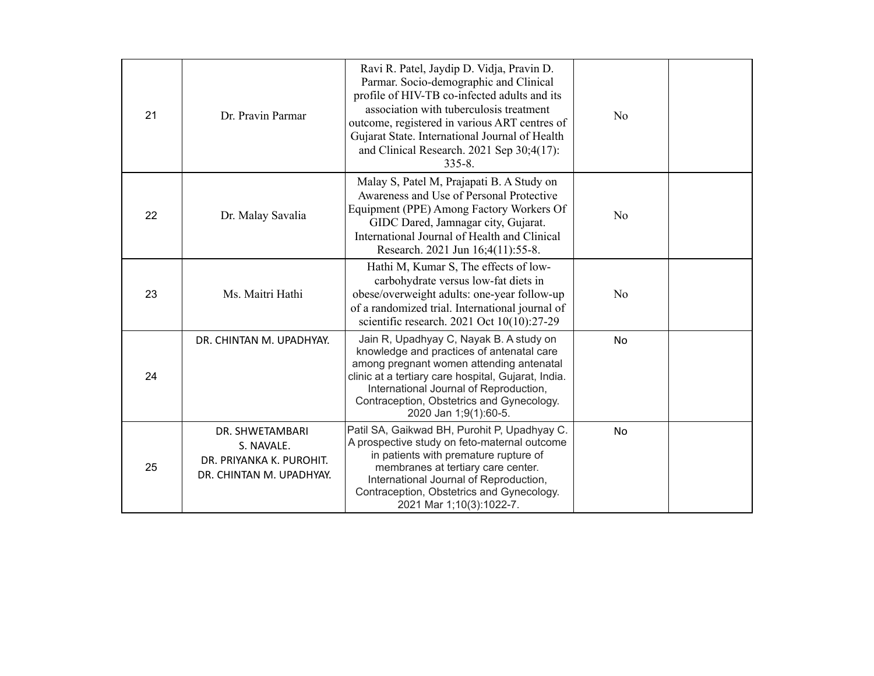| 21 | Dr. Pravin Parmar                                                                     | Ravi R. Patel, Jaydip D. Vidja, Pravin D.<br>Parmar. Socio-demographic and Clinical<br>profile of HIV-TB co-infected adults and its<br>association with tuberculosis treatment<br>outcome, registered in various ART centres of<br>Gujarat State. International Journal of Health<br>and Clinical Research. 2021 Sep 30;4(17):<br>$335 - 8$ . | N <sub>o</sub> |  |
|----|---------------------------------------------------------------------------------------|-----------------------------------------------------------------------------------------------------------------------------------------------------------------------------------------------------------------------------------------------------------------------------------------------------------------------------------------------|----------------|--|
| 22 | Dr. Malay Savalia                                                                     | Malay S, Patel M, Prajapati B. A Study on<br>Awareness and Use of Personal Protective<br>Equipment (PPE) Among Factory Workers Of<br>GIDC Dared, Jamnagar city, Gujarat.<br>International Journal of Health and Clinical<br>Research. 2021 Jun 16;4(11):55-8.                                                                                 | N <sub>o</sub> |  |
| 23 | Ms. Maitri Hathi                                                                      | Hathi M, Kumar S, The effects of low-<br>carbohydrate versus low-fat diets in<br>obese/overweight adults: one-year follow-up<br>of a randomized trial. International journal of<br>scientific research. 2021 Oct 10(10):27-29                                                                                                                 | N <sub>o</sub> |  |
| 24 | DR. CHINTAN M. UPADHYAY.                                                              | Jain R, Upadhyay C, Nayak B. A study on<br>knowledge and practices of antenatal care<br>among pregnant women attending antenatal<br>clinic at a tertiary care hospital, Gujarat, India.<br>International Journal of Reproduction,<br>Contraception, Obstetrics and Gynecology.<br>2020 Jan 1;9(1):60-5.                                       | <b>No</b>      |  |
| 25 | DR. SHWETAMBARI<br>S. NAVALE.<br>DR. PRIYANKA K. PUROHIT.<br>DR. CHINTAN M. UPADHYAY. | Patil SA, Gaikwad BH, Purohit P, Upadhyay C.<br>A prospective study on feto-maternal outcome<br>in patients with premature rupture of<br>membranes at tertiary care center.<br>International Journal of Reproduction,<br>Contraception, Obstetrics and Gynecology.<br>2021 Mar 1;10(3):1022-7.                                                | No             |  |